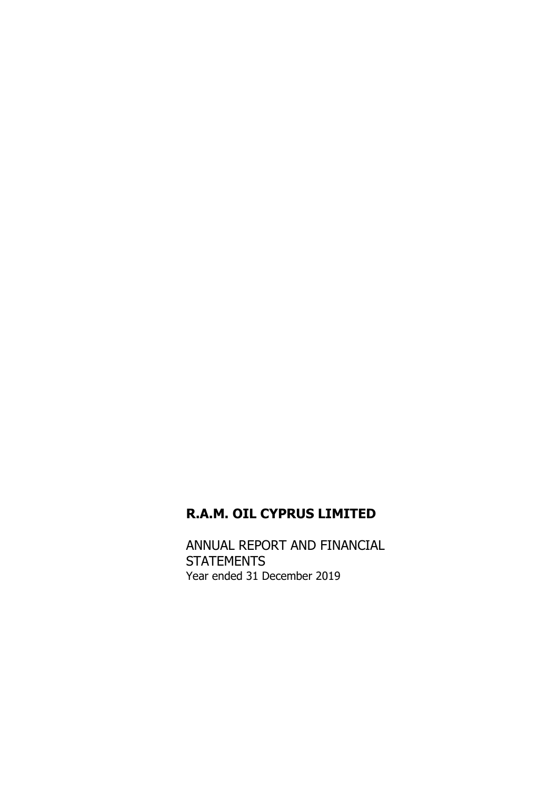ANNUAL REPORT AND FINANCIAL **STATEMENTS** Year ended 31 December 2019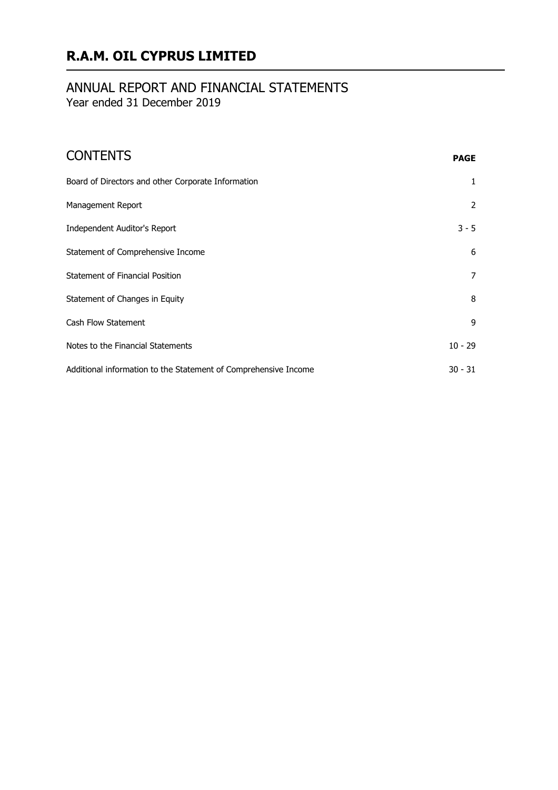### ANNUAL REPORT AND FINANCIAL STATEMENTS Year ended 31 December 2019

| CONTENTS                                                        | <b>PAGE</b>    |
|-----------------------------------------------------------------|----------------|
| Board of Directors and other Corporate Information              | 1              |
| Management Report                                               | $\overline{c}$ |
| <b>Independent Auditor's Report</b>                             | $3 - 5$        |
| Statement of Comprehensive Income                               | 6              |
| Statement of Financial Position                                 | 7              |
| Statement of Changes in Equity                                  | 8              |
| Cash Flow Statement                                             | 9              |
| Notes to the Financial Statements                               | $10 - 29$      |
| Additional information to the Statement of Comprehensive Income | $30 - 31$      |
|                                                                 |                |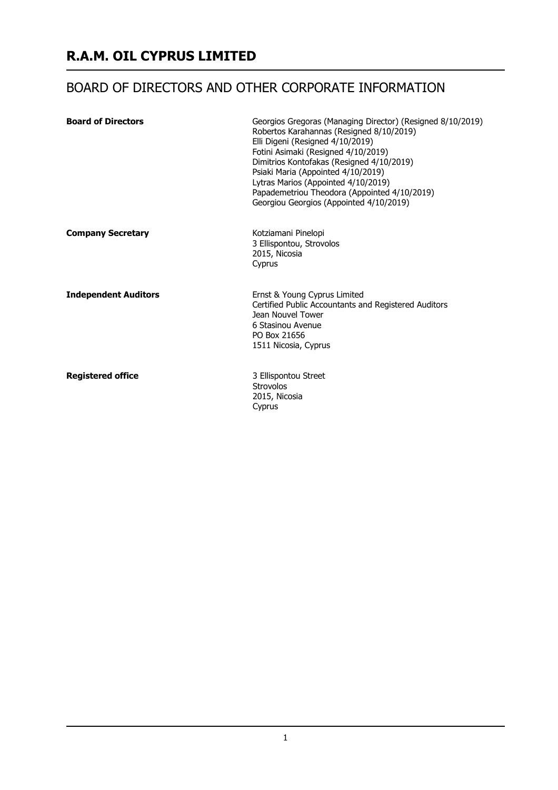# BOARD OF DIRECTORS AND OTHER CORPORATE INFORMATION

| <b>Board of Directors</b>   | Georgios Gregoras (Managing Director) (Resigned 8/10/2019)<br>Robertos Karahannas (Resigned 8/10/2019)<br>Elli Digeni (Resigned 4/10/2019)<br>Fotini Asimaki (Resigned 4/10/2019)<br>Dimitrios Kontofakas (Resigned 4/10/2019)<br>Psiaki Maria (Appointed 4/10/2019)<br>Lytras Marios (Appointed 4/10/2019)<br>Papademetriou Theodora (Appointed 4/10/2019)<br>Georgiou Georgios (Appointed 4/10/2019) |
|-----------------------------|--------------------------------------------------------------------------------------------------------------------------------------------------------------------------------------------------------------------------------------------------------------------------------------------------------------------------------------------------------------------------------------------------------|
| <b>Company Secretary</b>    | Kotziamani Pinelopi<br>3 Ellispontou, Strovolos<br>2015, Nicosia<br>Cyprus                                                                                                                                                                                                                                                                                                                             |
| <b>Independent Auditors</b> | Ernst & Young Cyprus Limited<br>Certified Public Accountants and Registered Auditors<br>Jean Nouvel Tower<br>6 Stasinou Avenue<br>PO Box 21656<br>1511 Nicosia, Cyprus                                                                                                                                                                                                                                 |
| <b>Registered office</b>    | 3 Ellispontou Street<br><b>Strovolos</b><br>2015, Nicosia<br>Cyprus                                                                                                                                                                                                                                                                                                                                    |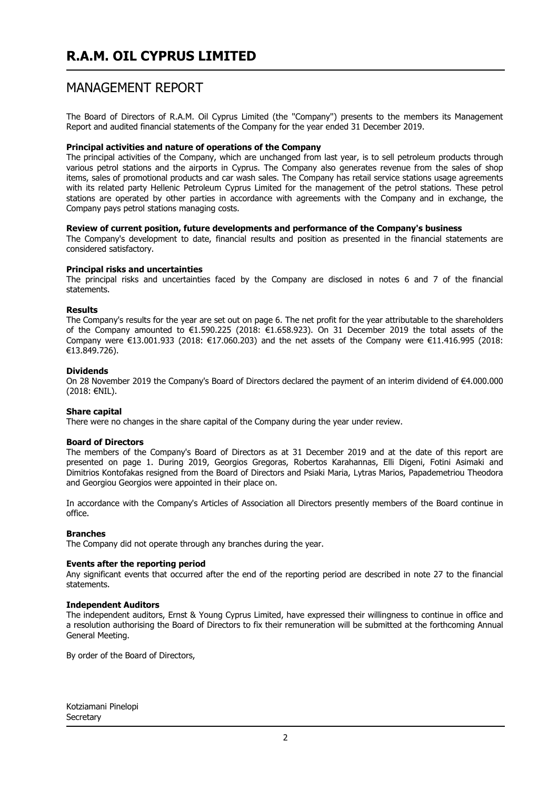### MANAGEMENT REPORT

The Board of Directors of R.A.M. Oil Cyprus Limited (the ''Company'') presents to the members its Management Report and audited financial statements of the Company for the year ended 31 December 2019.

#### **Principal activities and nature of operations of the Company**

The principal activities of the Company, which are unchanged from last year, is to sell petroleum products through various petrol stations and the airports in Cyprus. The Company also generates revenue from the sales of shop items, sales of promotional products and car wash sales. The Company has retail service stations usage agreements with its related party Hellenic Petroleum Cyprus Limited for the management of the petrol stations. These petrol stations are operated by other parties in accordance with agreements with the Company and in exchange, the Company pays petrol stations managing costs.

#### **Review of current position, future developments and performance of the Company's business**

The Company's development to date, financial results and position as presented in the financial statements are considered satisfactory.

#### **Principal risks and uncertainties**

The principal risks and uncertainties faced by the Company are disclosed in notes 6 and 7 of the financial statements.

#### **Results**

The Company's results for the year are set out on page 6. The net profit for the year attributable to the shareholders of the Company amounted to €1.590.225 (2018:  $\overline{\epsilon}1.658.923$ ). On 31 December 2019 the total assets of the Company were €13.001.933 (2018: €17.060.203) and the net assets of the Company were €11.416.995 (2018: €13.849.726).

#### **Dividends**

On 28 November 2019 the Company's Board of Directors declared the payment of an interim dividend of €4.000.000 (2018: €NIL).

#### **Share capital**

There were no changes in the share capital of the Company during the year under review.

#### **Board of Directors**

The members of the Company's Board of Directors as at 31 December 2019 and at the date of this report are presented on page 1. During 2019, Georgios Gregoras, Robertos Karahannas, Elli Digeni, Fotini Asimaki and Dimitrios Kontofakas resigned from the Board of Directors and Psiaki Maria, Lytras Marios, Papademetriou Theodora and Georgiou Georgios were appointed in their place on.

In accordance with the Company's Articles of Association all Directors presently members of the Board continue in office.

#### **Branches**

The Company did not operate through any branches during the year.

#### **Events after the reporting period**

Any significant events that occurred after the end of the reporting period are described in note 27 to the financial statements.

#### **Independent Auditors**

The independent auditors, Ernst & Young Cyprus Limited, have expressed their willingness to continue in office and a resolution authorising the Board of Directors to fix their remuneration will be submitted at the forthcoming Annual General Meeting.

By order of the Board of Directors,

Kotziamani Pinelopi **Secretary**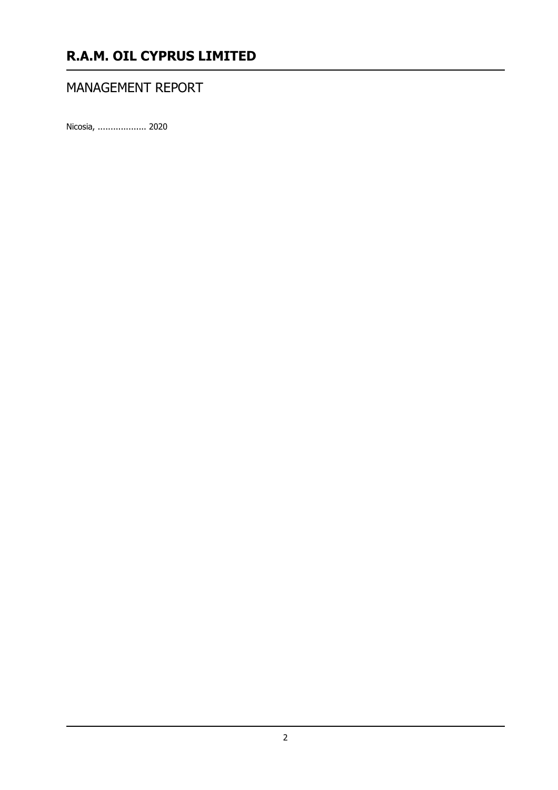### MANAGEMENT REPORT

Nicosia, ................... 2020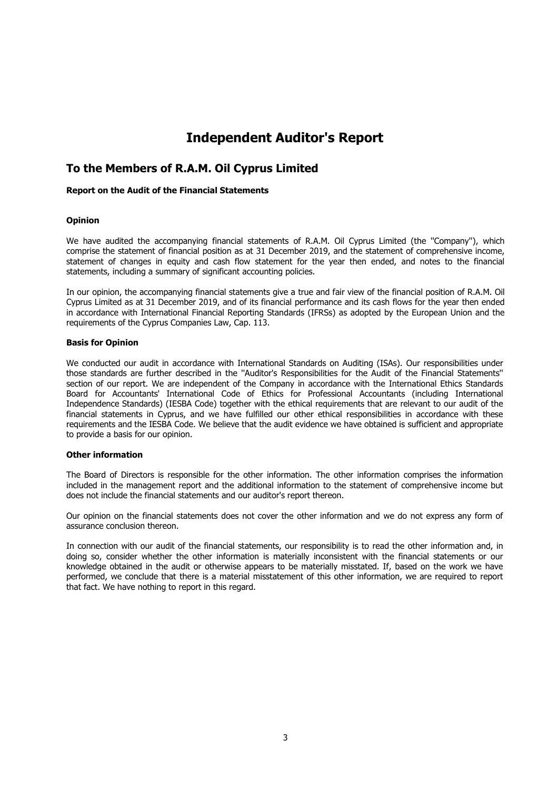## **Independent Auditor's Report**

### **To the Members of R.A.M. Oil Cyprus Limited**

#### **Report on the Audit of the Financial Statements**

#### **Opinion**

We have audited the accompanying financial statements of R.A.M. Oil Cyprus Limited (the ''Company''), which comprise the statement of financial position as at 31 December 2019, and the statement of comprehensive income, statement of changes in equity and cash flow statement for the year then ended, and notes to the financial statements, including a summary of significant accounting policies.

In our opinion, the accompanying financial statements give a true and fair view of the financial position of R.A.M. Oil Cyprus Limited as at 31 December 2019, and of its financial performance and its cash flows for the year then ended in accordance with International Financial Reporting Standards (IFRSs) as adopted by the European Union and the requirements of the Cyprus Companies Law, Cap. 113.

#### **Basis for Opinion**

We conducted our audit in accordance with International Standards on Auditing (ISAs). Our responsibilities under those standards are further described in the ''Auditor's Responsibilities for the Audit of the Financial Statements'' section of our report. We are independent of the Company in accordance with the International Ethics Standards Board for Accountants' International Code of Ethics for Professional Accountants (including International Independence Standards) (IESBA Code) together with the ethical requirements that are relevant to our audit of the financial statements in Cyprus, and we have fulfilled our other ethical responsibilities in accordance with these requirements and the IESBA Code. We believe that the audit evidence we have obtained is sufficient and appropriate to provide a basis for our opinion.

#### **Other information**

The Board of Directors is responsible for the other information. The other information comprises the information included in the management report and the additional information to the statement of comprehensive income but does not include the financial statements and our auditor's report thereon.

Our opinion on the financial statements does not cover the other information and we do not express any form of assurance conclusion thereon.

In connection with our audit of the financial statements, our responsibility is to read the other information and, in doing so, consider whether the other information is materially inconsistent with the financial statements or our knowledge obtained in the audit or otherwise appears to be materially misstated. If, based on the work we have performed, we conclude that there is a material misstatement of this other information, we are required to report that fact. We have nothing to report in this regard.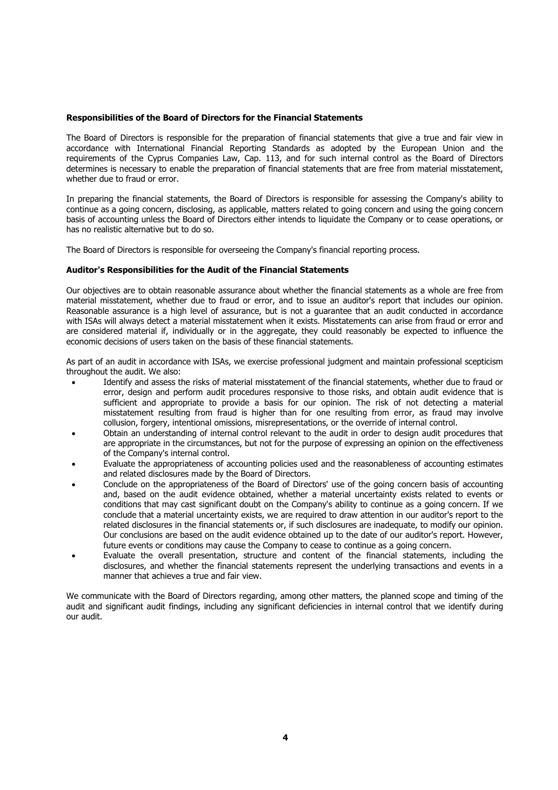#### **Responsibilities of the Board of Directors for the Financial Statements**

The Board of Directors is responsible for the preparation of financial statements that give a true and fair view in accordance with International Financial Reporting Standards as adopted by the European Union and the requirements of the Cyprus Companies Law, Cap. 113, and for such internal control as the Board of Directors determines is necessary to enable the preparation of financial statements that are free from material misstatement, whether due to fraud or error.

In preparing the financial statements, the Board of Directors is responsible for assessing the Company's ability to continue as a going concern, disclosing, as applicable, matters related to going concern and using the going concern basis of accounting unless the Board of Directors either intends to liquidate the Company or to cease operations, or has no realistic alternative but to do so.

The Board of Directors is responsible for overseeing the Company's financial reporting process.

#### **Auditor's Responsibilities for the Audit of the Financial Statements**

Our objectives are to obtain reasonable assurance about whether the financial statements as a whole are free from material misstatement, whether due to fraud or error, and to issue an auditor's report that includes our opinion. Reasonable assurance is a high level of assurance, but is not a guarantee that an audit conducted in accordance with ISAs will always detect a material misstatement when it exists. Misstatements can arise from fraud or error and are considered material if, individually or in the aggregate, they could reasonably be expected to influence the economic decisions of users taken on the basis of these financial statements.

As part of an audit in accordance with ISAs, we exercise professional judgment and maintain professional scepticism throughout the audit. We also:

- Identify and assess the risks of material misstatement of the financial statements, whether due to fraud or error, design and perform audit procedures responsive to those risks, and obtain audit evidence that is sufficient and appropriate to provide a basis for our opinion. The risk of not detecting a material misstatement resulting from fraud is higher than for one resulting from error, as fraud may involve collusion, forgery, intentional omissions, misrepresentations, or the override of internal control.
- Obtain an understanding of internal control relevant to the audit in order to design audit procedures that are appropriate in the circumstances, but not for the purpose of expressing an opinion on the effectiveness of the Company's internal control.
- Evaluate the appropriateness of accounting policies used and the reasonableness of accounting estimates and related disclosures made by the Board of Directors.
- Conclude on the appropriateness of the Board of Directors' use of the going concern basis of accounting and, based on the audit evidence obtained, whether a material uncertainty exists related to events or conditions that may cast significant doubt on the Company's ability to continue as a going concern. If we conclude that a material uncertainty exists, we are required to draw attention in our auditor's report to the related disclosures in the financial statements or, if such disclosures are inadequate, to modify our opinion. Our conclusions are based on the audit evidence obtained up to the date of our auditor's report. However, future events or conditions may cause the Company to cease to continue as a going concern.
- Evaluate the overall presentation, structure and content of the financial statements, including the disclosures, and whether the financial statements represent the underlying transactions and events in a manner that achieves a true and fair view.

We communicate with the Board of Directors regarding, among other matters, the planned scope and timing of the audit and significant audit findings, including any significant deficiencies in internal control that we identify during our audit.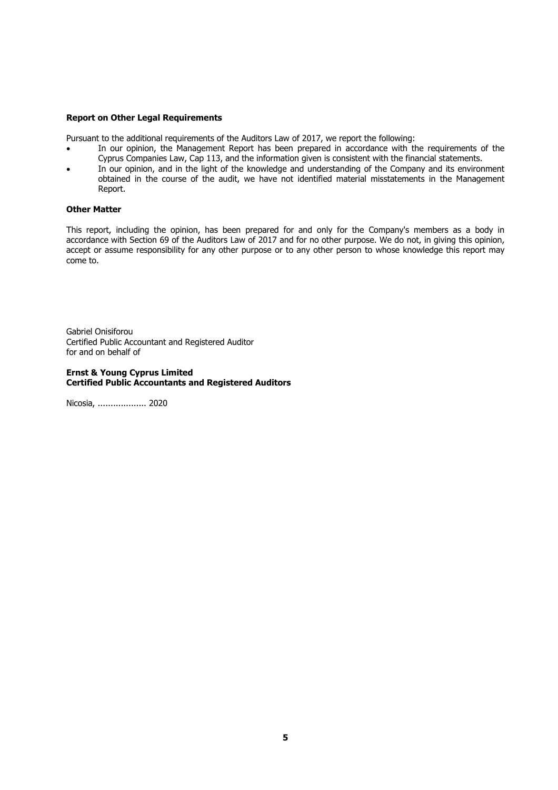#### **Report on Other Legal Requirements**

Pursuant to the additional requirements of the Auditors Law of 2017, we report the following:

- In our opinion, the Management Report has been prepared in accordance with the requirements of the Cyprus Companies Law, Cap 113, and the information given is consistent with the financial statements.
- In our opinion, and in the light of the knowledge and understanding of the Company and its environment obtained in the course of the audit, we have not identified material misstatements in the Management Report.

#### **Other Matter**

This report, including the opinion, has been prepared for and only for the Company's members as a body in accordance with Section 69 of the Auditors Law of 2017 and for no other purpose. We do not, in giving this opinion, accept or assume responsibility for any other purpose or to any other person to whose knowledge this report may come to.

Gabriel Onisiforou Certified Public Accountant and Registered Auditor for and on behalf of

#### **Ernst & Young Cyprus Limited Certified Public Accountants and Registered Auditors**

Nicosia, ................... 2020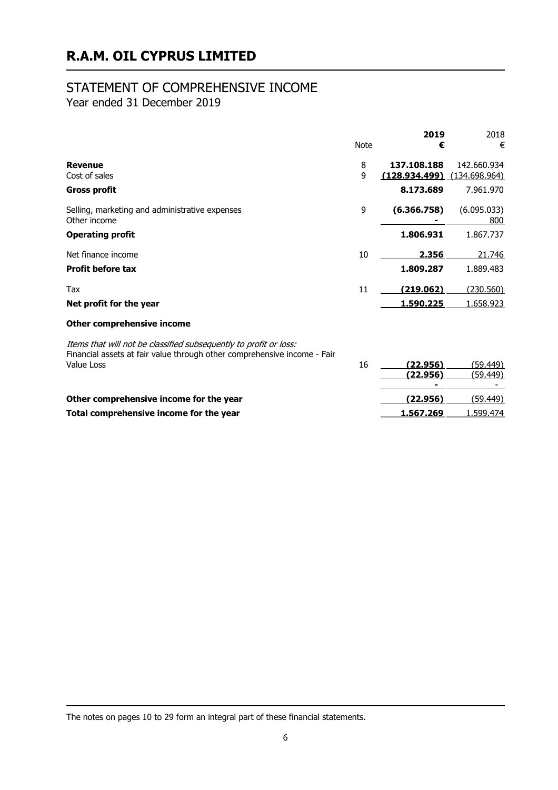# STATEMENT OF COMPREHENSIVE INCOME

Year ended 31 December 2019

|                                                                                                                                               | <b>Note</b> | 2019<br>€                    | 2018<br>€                    |
|-----------------------------------------------------------------------------------------------------------------------------------------------|-------------|------------------------------|------------------------------|
| <b>Revenue</b><br>Cost of sales                                                                                                               | 8<br>9      | 137.108.188<br>(128.934.499) | 142.660.934<br>(134.698.964) |
| <b>Gross profit</b>                                                                                                                           |             | 8.173.689                    | 7.961.970                    |
| Selling, marketing and administrative expenses<br>Other income                                                                                | 9           | (6.366.758)                  | (6.095.033)<br>800           |
| <b>Operating profit</b>                                                                                                                       |             | 1.806.931                    | 1.867.737                    |
| Net finance income                                                                                                                            | 10          | 2.356                        | 21.746                       |
| <b>Profit before tax</b>                                                                                                                      |             | 1.809.287                    | 1.889.483                    |
| Tax                                                                                                                                           | 11          | (219.062)                    | (230.560)                    |
| Net profit for the year                                                                                                                       |             | 1.590.225                    | 1.658.923                    |
| <b>Other comprehensive income</b>                                                                                                             |             |                              |                              |
| Items that will not be classified subsequently to profit or loss:<br>Financial assets at fair value through other comprehensive income - Fair |             |                              |                              |
| Value Loss                                                                                                                                    | 16          | (22.956)                     | (59.449)                     |
|                                                                                                                                               |             | <u>(22.956)</u>              | (59.449)                     |
| Other comprehensive income for the year                                                                                                       |             | (22.956)                     | <u>(59.449)</u>              |
| Total comprehensive income for the year                                                                                                       |             | 1.567.269                    | 1.599.474                    |

The notes on pages 10 to 29 form an integral part of these financial statements.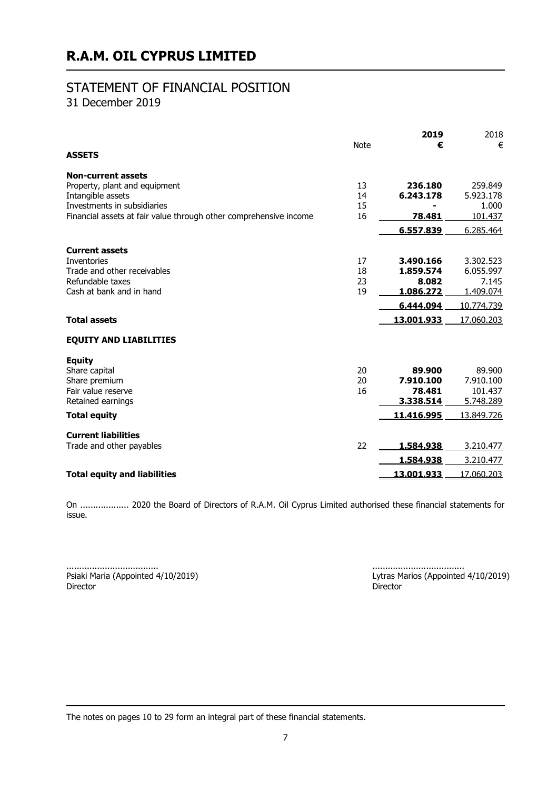# STATEMENT OF FINANCIAL POSITION

31 December 2019

|                                                                   |             | 2019              | 2018               |
|-------------------------------------------------------------------|-------------|-------------------|--------------------|
| <b>ASSETS</b>                                                     | <b>Note</b> | €                 | €                  |
|                                                                   |             |                   |                    |
| <b>Non-current assets</b>                                         |             |                   |                    |
| Property, plant and equipment                                     | 13          | 236.180           | 259.849            |
| Intangible assets<br>Investments in subsidiaries                  | 14<br>15    | 6.243.178         | 5.923.178<br>1.000 |
| Financial assets at fair value through other comprehensive income | 16          | 78.481            | 101.437            |
|                                                                   |             |                   |                    |
|                                                                   |             | 6.557.839         | 6.285.464          |
| <b>Current assets</b>                                             |             |                   |                    |
| <b>Inventories</b>                                                | 17          | 3.490.166         | 3.302.523          |
| Trade and other receivables                                       | 18          | 1.859.574         | 6.055.997          |
| Refundable taxes                                                  | 23          | 8.082             | 7.145              |
| Cash at bank and in hand                                          | 19          | 1.086.272         | 1.409.074          |
|                                                                   |             | 6.444.094         | 10.774.739         |
| <b>Total assets</b>                                               |             | 13.001.933        | 17.060.203         |
| <b>EQUITY AND LIABILITIES</b>                                     |             |                   |                    |
| <b>Equity</b>                                                     |             |                   |                    |
| Share capital                                                     | 20          | 89.900            | 89.900             |
| Share premium                                                     | 20          | 7.910.100         | 7.910.100          |
| Fair value reserve                                                | 16          | 78.481            | 101.437            |
| Retained earnings                                                 |             | 3.338.514         | 5.748.289          |
| <b>Total equity</b>                                               |             | 11.416.995        | 13.849.726         |
| <b>Current liabilities</b>                                        |             |                   |                    |
| Trade and other payables                                          | 22          | 1.584.938         | 3.210.477          |
|                                                                   |             | 1.584.938         | 3.210.477          |
| <b>Total equity and liabilities</b>                               |             | <u>13.001.933</u> | 17.060.203         |

On ................... 2020 the Board of Directors of R.A.M. Oil Cyprus Limited authorised these financial statements for issue.

.................................... .................................... Director Director

Lytras Marios (Appointed 4/10/2019)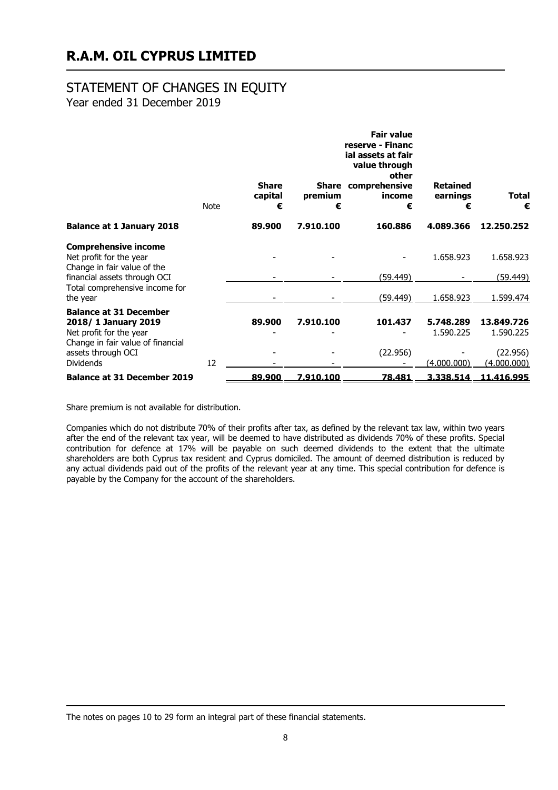### STATEMENT OF CHANGES IN EQUITY

Year ended 31 December 2019

|                                                                                                                       |      |              |                  | <b>Fair value</b><br>reserve - Financ<br>ial assets at fair<br>value through<br>other |                        |                         |
|-----------------------------------------------------------------------------------------------------------------------|------|--------------|------------------|---------------------------------------------------------------------------------------|------------------------|-------------------------|
|                                                                                                                       |      | <b>Share</b> | Share            | comprehensive<br>income                                                               | <b>Retained</b>        | Total                   |
|                                                                                                                       | Note | capital<br>€ | premium<br>€     | €                                                                                     | earnings<br>€          | €                       |
| <b>Balance at 1 January 2018</b>                                                                                      |      | 89,900       | 7.910.100        | 160.886                                                                               | 4.089.366              | 12.250.252              |
| <b>Comprehensive income</b><br>Net profit for the year<br>Change in fair value of the                                 |      |              |                  |                                                                                       | 1.658.923              | 1.658.923               |
| financial assets through OCI                                                                                          |      |              |                  | <u>(59.449)</u>                                                                       |                        | (59.449)                |
| Total comprehensive income for<br>the year                                                                            |      |              |                  | <u>(59.449)</u>                                                                       | 1.658.923              | 1.599.474               |
| <b>Balance at 31 December</b><br>2018/ 1 January 2019<br>Net profit for the year<br>Change in fair value of financial |      | 89,900       | 7.910.100        | 101.437                                                                               | 5.748.289<br>1.590.225 | 13.849.726<br>1.590.225 |
| assets through OCI<br><b>Dividends</b>                                                                                | 12   |              |                  | (22.956)                                                                              | (4.000.000)            | (22.956)<br>(4.000.000) |
| <b>Balance at 31 December 2019</b>                                                                                    |      | 89,900       | <u>7.910.100</u> | <u>78.481</u>                                                                         | 3.338.514              | 11.416.995              |

Share premium is not available for distribution.

Companies which do not distribute 70% of their profits after tax, as defined by the relevant tax law, within two years after the end of the relevant tax year, will be deemed to have distributed as dividends 70% of these profits. Special contribution for defence at 17% will be payable on such deemed dividends to the extent that the ultimate shareholders are both Cyprus tax resident and Cyprus domiciled. The amount of deemed distribution is reduced by any actual dividends paid out of the profits of the relevant year at any time. This special contribution for defence is payable by the Company for the account of the shareholders.

The notes on pages 10 to 29 form an integral part of these financial statements.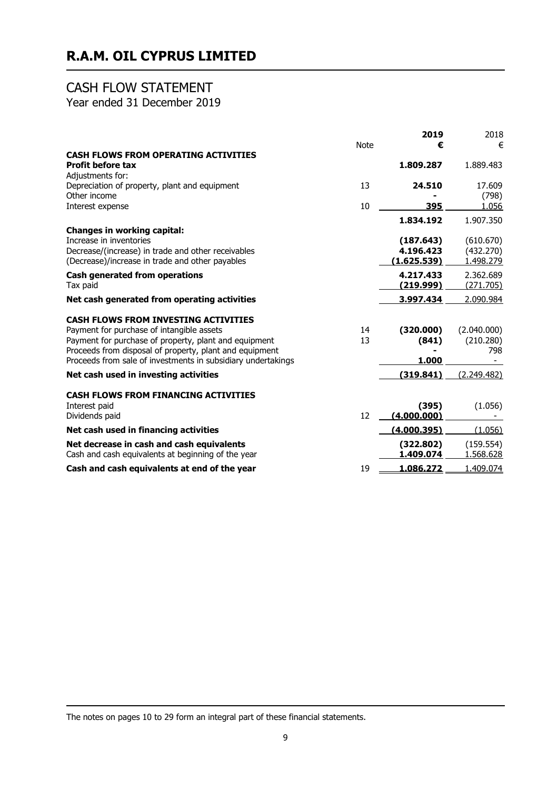### CASH FLOW STATEMENT

Year ended 31 December 2019

|                                                              |             | 2019               | 2018               |
|--------------------------------------------------------------|-------------|--------------------|--------------------|
|                                                              | <b>Note</b> | €                  | €                  |
| <b>CASH FLOWS FROM OPERATING ACTIVITIES</b>                  |             |                    |                    |
| <b>Profit before tax</b>                                     |             | 1.809.287          | 1.889.483          |
| Adjustments for:                                             |             |                    |                    |
| Depreciation of property, plant and equipment                | 13          | 24.510             | 17.609             |
| Other income                                                 |             |                    | (798)              |
| Interest expense                                             | 10          | 395                | 1.056              |
|                                                              |             | 1.834.192          | 1.907.350          |
| Changes in working capital:                                  |             |                    |                    |
| Increase in inventories                                      |             | (187.643)          | (610.670)          |
| Decrease/(increase) in trade and other receivables           |             | 4.196.423          | (432.270)          |
| (Decrease)/increase in trade and other payables              |             | (1.625.539)        | 1.498.279          |
| <b>Cash generated from operations</b>                        |             | 4.217.433          | 2.362.689          |
| Tax paid                                                     |             | (219.999)          | (271.705)          |
| Net cash generated from operating activities                 |             | 3.997.434          | 2.090.984          |
| <b>CASH FLOWS FROM INVESTING ACTIVITIES</b>                  |             |                    |                    |
| Payment for purchase of intangible assets                    | 14          | (320.000)          | (2.040.000)        |
| Payment for purchase of property, plant and equipment        | 13          | (841)              | (210.280)          |
| Proceeds from disposal of property, plant and equipment      |             |                    | 798                |
| Proceeds from sale of investments in subsidiary undertakings |             | <u>1.000</u>       |                    |
| Net cash used in investing activities                        |             | (319.841)          | <u>(2.249.482)</u> |
|                                                              |             |                    |                    |
| <b>CASH FLOWS FROM FINANCING ACTIVITIES</b>                  |             |                    |                    |
| Interest paid                                                |             | (395)              | (1.056)            |
| Dividends paid                                               | 12          | (4.000.000)        |                    |
| Net cash used in financing activities                        |             | <u>(4.000.395)</u> | (1.056)            |
| Net decrease in cash and cash equivalents                    |             | (322.802)          | (159.554)          |
| Cash and cash equivalents at beginning of the year           |             | 1.409.074          | 1.568.628          |
| Cash and cash equivalents at end of the year                 | 19          | 1.086.272          | 1.409.074          |

The notes on pages 10 to 29 form an integral part of these financial statements.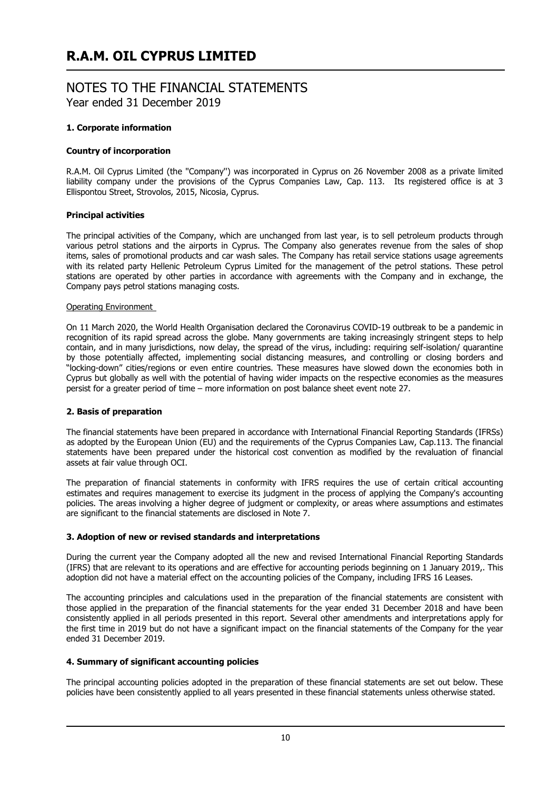### NOTES TO THE FINANCIAL STATEMENTS Year ended 31 December 2019

#### **1. Corporate information**

#### **Country of incorporation**

R.A.M. Oil Cyprus Limited (the ''Company'') was incorporated in Cyprus on 26 November 2008 as a private limited liability company under the provisions of the Cyprus Companies Law, Cap. 113. Its registered office is at 3 Ellispontou Street, Strovolos, 2015, Nicosia, Cyprus.

#### **Principal activities**

The principal activities of the Company, which are unchanged from last year, is to sell petroleum products through various petrol stations and the airports in Cyprus. The Company also generates revenue from the sales of shop items, sales of promotional products and car wash sales. The Company has retail service stations usage agreements with its related party Hellenic Petroleum Cyprus Limited for the management of the petrol stations. These petrol stations are operated by other parties in accordance with agreements with the Company and in exchange, the Company pays petrol stations managing costs.

#### Operating Environment

On 11 March 2020, the World Health Organisation declared the Coronavirus COVID-19 outbreak to be a pandemic in recognition of its rapid spread across the globe. Many governments are taking increasingly stringent steps to help contain, and in many jurisdictions, now delay, the spread of the virus, including: requiring self-isolation/ quarantine by those potentially affected, implementing social distancing measures, and controlling or closing borders and "locking-down" cities/regions or even entire countries. These measures have slowed down the economies both in Cyprus but globally as well with the potential of having wider impacts on the respective economies as the measures persist for a greater period of time – more information on post balance sheet event note 27.

#### **2. Basis of preparation**

The financial statements have been prepared in accordance with International Financial Reporting Standards (IFRSs) as adopted by the European Union (EU) and the requirements of the Cyprus Companies Law, Cap.113. The financial statements have been prepared under the historical cost convention as modified by the revaluation of financial assets at fair value through OCI.

The preparation of financial statements in conformity with IFRS requires the use of certain critical accounting estimates and requires management to exercise its judgment in the process of applying the Company's accounting policies. The areas involving a higher degree of judgment or complexity, or areas where assumptions and estimates are significant to the financial statements are disclosed in Note 7.

#### **3. Adoption of new or revised standards and interpretations**

During the current year the Company adopted all the new and revised International Financial Reporting Standards (IFRS) that are relevant to its operations and are effective for accounting periods beginning on 1 January 2019,. This adoption did not have a material effect on the accounting policies of the Company, including IFRS 16 Leases.

The accounting principles and calculations used in the preparation of the financial statements are consistent with those applied in the preparation of the financial statements for the year ended 31 December 2018 and have been consistently applied in all periods presented in this report. Several other amendments and interpretations apply for the first time in 2019 but do not have a significant impact on the financial statements of the Company for the year ended 31 December 2019.

#### **4. Summary of significant accounting policies**

The principal accounting policies adopted in the preparation of these financial statements are set out below. These policies have been consistently applied to all years presented in these financial statements unless otherwise stated.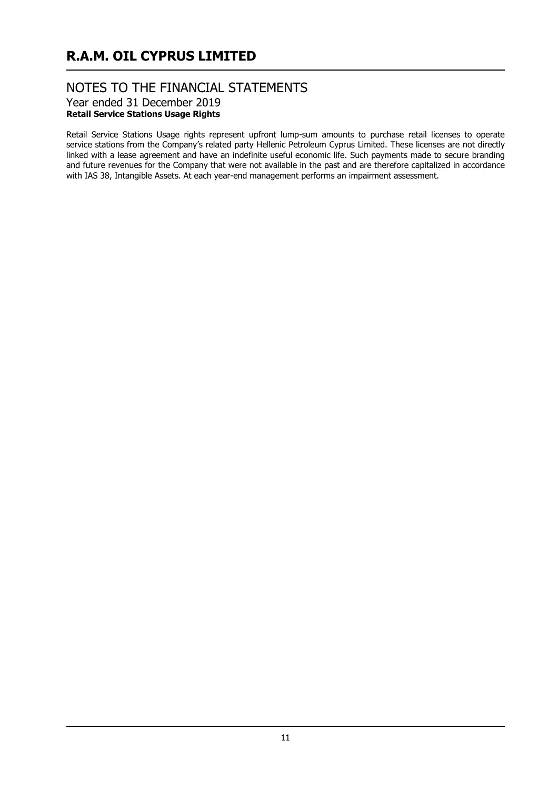### NOTES TO THE FINANCIAL STATEMENTS Year ended 31 December 2019 **Retail Service Stations Usage Rights**

Retail Service Stations Usage rights represent upfront lump-sum amounts to purchase retail licenses to operate service stations from the Company's related party Hellenic Petroleum Cyprus Limited. These licenses are not directly linked with a lease agreement and have an indefinite useful economic life. Such payments made to secure branding and future revenues for the Company that were not available in the past and are therefore capitalized in accordance with IAS 38, Intangible Assets. At each year-end management performs an impairment assessment.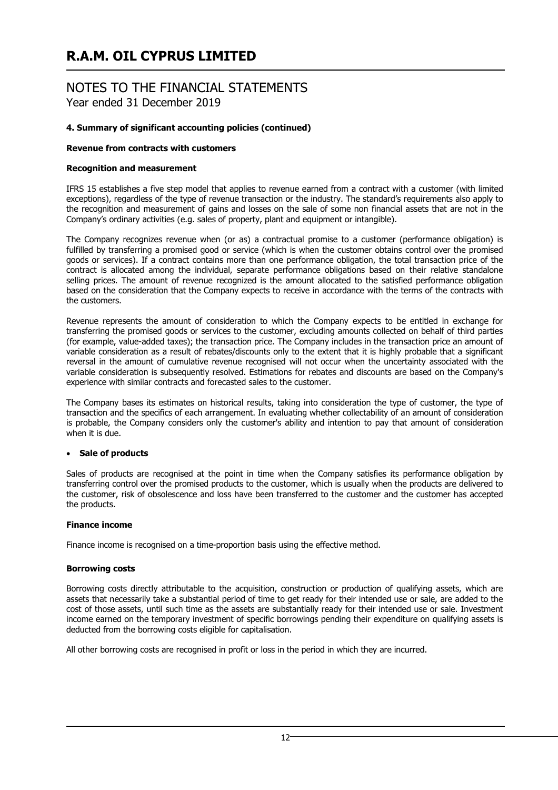### NOTES TO THE FINANCIAL STATEMENTS Year ended 31 December 2019

#### **4. Summary of significant accounting policies (continued)**

#### **Revenue from contracts with customers**

#### **Recognition and measurement**

IFRS 15 establishes a five step model that applies to revenue earned from a contract with a customer (with limited exceptions), regardless of the type of revenue transaction or the industry. The standard's requirements also apply to the recognition and measurement of gains and losses on the sale of some non financial assets that are not in the Company's ordinary activities (e.g. sales of property, plant and equipment or intangible).

The Company recognizes revenue when (or as) a contractual promise to a customer (performance obligation) is fulfilled by transferring a promised good or service (which is when the customer obtains control over the promised goods or services). If a contract contains more than one performance obligation, the total transaction price of the contract is allocated among the individual, separate performance obligations based on their relative standalone selling prices. The amount of revenue recognized is the amount allocated to the satisfied performance obligation based on the consideration that the Company expects to receive in accordance with the terms of the contracts with the customers.

Revenue represents the amount of consideration to which the Company expects to be entitled in exchange for transferring the promised goods or services to the customer, excluding amounts collected on behalf of third parties (for example, value-added taxes); the transaction price. The Company includes in the transaction price an amount of variable consideration as a result of rebates/discounts only to the extent that it is highly probable that a significant reversal in the amount of cumulative revenue recognised will not occur when the uncertainty associated with the variable consideration is subsequently resolved. Estimations for rebates and discounts are based on the Company's experience with similar contracts and forecasted sales to the customer.

The Company bases its estimates on historical results, taking into consideration the type of customer, the type of transaction and the specifics of each arrangement. In evaluating whether collectability of an amount of consideration is probable, the Company considers only the customer's ability and intention to pay that amount of consideration when it is due.

#### **Sale of products**

Sales of products are recognised at the point in time when the Company satisfies its performance obligation by transferring control over the promised products to the customer, which is usually when the products are delivered to the customer, risk of obsolescence and loss have been transferred to the customer and the customer has accepted the products.

#### **Finance income**

Finance income is recognised on a time-proportion basis using the effective method.

#### **Borrowing costs**

Borrowing costs directly attributable to the acquisition, construction or production of qualifying assets, which are assets that necessarily take a substantial period of time to get ready for their intended use or sale, are added to the cost of those assets, until such time as the assets are substantially ready for their intended use or sale. Investment income earned on the temporary investment of specific borrowings pending their expenditure on qualifying assets is deducted from the borrowing costs eligible for capitalisation.

All other borrowing costs are recognised in profit or loss in the period in which they are incurred.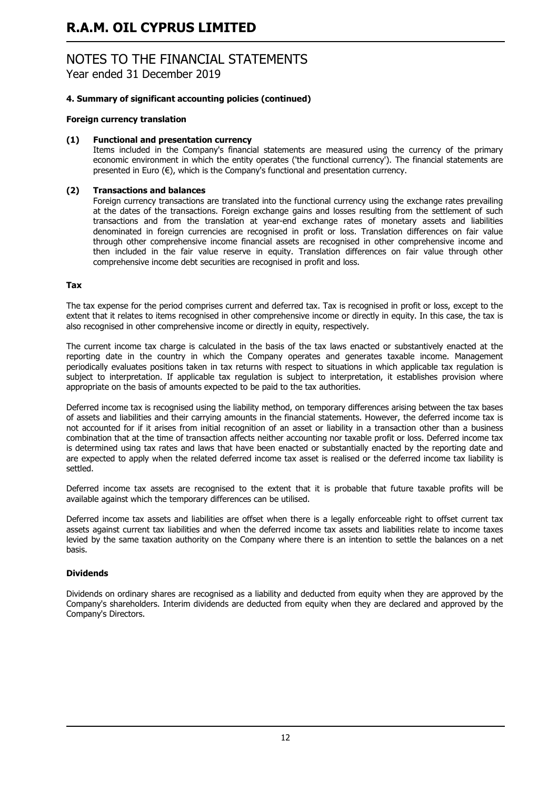### NOTES TO THE FINANCIAL STATEMENTS

Year ended 31 December 2019

#### **4. Summary of significant accounting policies (continued)**

#### **Foreign currency translation**

#### **(1) Functional and presentation currency**

Items included in the Company's financial statements are measured using the currency of the primary economic environment in which the entity operates ('the functional currency'). The financial statements are presented in Euro (€), which is the Company's functional and presentation currency.

#### **(2) Transactions and balances**

Foreign currency transactions are translated into the functional currency using the exchange rates prevailing at the dates of the transactions. Foreign exchange gains and losses resulting from the settlement of such transactions and from the translation at year-end exchange rates of monetary assets and liabilities denominated in foreign currencies are recognised in profit or loss. Translation differences on fair value through other comprehensive income financial assets are recognised in other comprehensive income and then included in the fair value reserve in equity. Translation differences on fair value through other comprehensive income debt securities are recognised in profit and loss.

#### **Tax**

The tax expense for the period comprises current and deferred tax. Tax is recognised in profit or loss, except to the extent that it relates to items recognised in other comprehensive income or directly in equity. In this case, the tax is also recognised in other comprehensive income or directly in equity, respectively.

The current income tax charge is calculated in the basis of the tax laws enacted or substantively enacted at the reporting date in the country in which the Company operates and generates taxable income. Management periodically evaluates positions taken in tax returns with respect to situations in which applicable tax regulation is subject to interpretation. If applicable tax regulation is subject to interpretation, it establishes provision where appropriate on the basis of amounts expected to be paid to the tax authorities.

Deferred income tax is recognised using the liability method, on temporary differences arising between the tax bases of assets and liabilities and their carrying amounts in the financial statements. However, the deferred income tax is not accounted for if it arises from initial recognition of an asset or liability in a transaction other than a business combination that at the time of transaction affects neither accounting nor taxable profit or loss. Deferred income tax is determined using tax rates and laws that have been enacted or substantially enacted by the reporting date and are expected to apply when the related deferred income tax asset is realised or the deferred income tax liability is settled.

Deferred income tax assets are recognised to the extent that it is probable that future taxable profits will be available against which the temporary differences can be utilised.

Deferred income tax assets and liabilities are offset when there is a legally enforceable right to offset current tax assets against current tax liabilities and when the deferred income tax assets and liabilities relate to income taxes levied by the same taxation authority on the Company where there is an intention to settle the balances on a net basis.

#### **Dividends**

Dividends on ordinary shares are recognised as a liability and deducted from equity when they are approved by the Company's shareholders. Interim dividends are deducted from equity when they are declared and approved by the Company's Directors.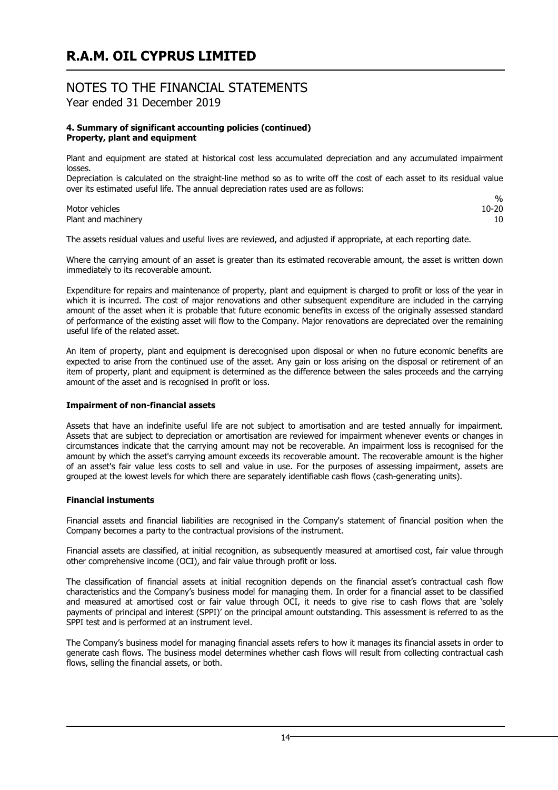# NOTES TO THE FINANCIAL STATEMENTS

Year ended 31 December 2019

#### **4. Summary of significant accounting policies (continued) Property, plant and equipment**

Plant and equipment are stated at historical cost less accumulated depreciation and any accumulated impairment losses.

Depreciation is calculated on the straight-line method so as to write off the cost of each asset to its residual value over its estimated useful life. The annual depreciation rates used are as follows:

Motor vehicles 10-20 Plant and machinery 10

 $0/2$ 

The assets residual values and useful lives are reviewed, and adjusted if appropriate, at each reporting date.

Where the carrying amount of an asset is greater than its estimated recoverable amount, the asset is written down immediately to its recoverable amount.

Expenditure for repairs and maintenance of property, plant and equipment is charged to profit or loss of the year in which it is incurred. The cost of major renovations and other subsequent expenditure are included in the carrying amount of the asset when it is probable that future economic benefits in excess of the originally assessed standard of performance of the existing asset will flow to the Company. Major renovations are depreciated over the remaining useful life of the related asset.

An item of property, plant and equipment is derecognised upon disposal or when no future economic benefits are expected to arise from the continued use of the asset. Any gain or loss arising on the disposal or retirement of an item of property, plant and equipment is determined as the difference between the sales proceeds and the carrying amount of the asset and is recognised in profit or loss.

#### **Impairment of non-financial assets**

Assets that have an indefinite useful life are not subject to amortisation and are tested annually for impairment. Assets that are subject to depreciation or amortisation are reviewed for impairment whenever events or changes in circumstances indicate that the carrying amount may not be recoverable. An impairment loss is recognised for the amount by which the asset's carrying amount exceeds its recoverable amount. The recoverable amount is the higher of an asset's fair value less costs to sell and value in use. For the purposes of assessing impairment, assets are grouped at the lowest levels for which there are separately identifiable cash flows (cash-generating units).

#### **Financial instuments**

Financial assets and financial liabilities are recognised in the Company's statement of financial position when the Company becomes a party to the contractual provisions of the instrument.

Financial assets are classified, at initial recognition, as subsequently measured at amortised cost, fair value through other comprehensive income (OCI), and fair value through profit or loss.

The classification of financial assets at initial recognition depends on the financial asset's contractual cash flow characteristics and the Company's business model for managing them. In order for a financial asset to be classified and measured at amortised cost or fair value through OCI, it needs to give rise to cash flows that are 'solely payments of principal and interest (SPPI)' on the principal amount outstanding. This assessment is referred to as the SPPI test and is performed at an instrument level.

The Company's business model for managing financial assets refers to how it manages its financial assets in order to generate cash flows. The business model determines whether cash flows will result from collecting contractual cash flows, selling the financial assets, or both.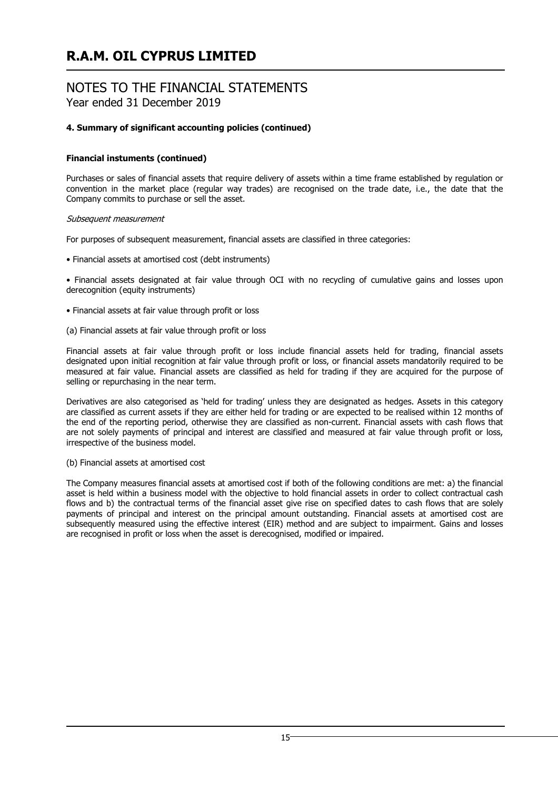### NOTES TO THE FINANCIAL STATEMENTS Year ended 31 December 2019

#### **4. Summary of significant accounting policies (continued)**

#### **Financial instuments (continued)**

Purchases or sales of financial assets that require delivery of assets within a time frame established by regulation or convention in the market place (regular way trades) are recognised on the trade date, i.e., the date that the Company commits to purchase or sell the asset.

#### Subsequent measurement

For purposes of subsequent measurement, financial assets are classified in three categories:

• Financial assets at amortised cost (debt instruments)

• Financial assets designated at fair value through OCI with no recycling of cumulative gains and losses upon derecognition (equity instruments)

- Financial assets at fair value through profit or loss
- (a) Financial assets at fair value through profit or loss

Financial assets at fair value through profit or loss include financial assets held for trading, financial assets designated upon initial recognition at fair value through profit or loss, or financial assets mandatorily required to be measured at fair value. Financial assets are classified as held for trading if they are acquired for the purpose of selling or repurchasing in the near term.

Derivatives are also categorised as 'held for trading' unless they are designated as hedges. Assets in this category are classified as current assets if they are either held for trading or are expected to be realised within 12 months of the end of the reporting period, otherwise they are classified as non-current. Financial assets with cash flows that are not solely payments of principal and interest are classified and measured at fair value through profit or loss, irrespective of the business model.

#### (b) Financial assets at amortised cost

The Company measures financial assets at amortised cost if both of the following conditions are met: a) the financial asset is held within a business model with the objective to hold financial assets in order to collect contractual cash flows and b) the contractual terms of the financial asset give rise on specified dates to cash flows that are solely payments of principal and interest on the principal amount outstanding. Financial assets at amortised cost are subsequently measured using the effective interest (EIR) method and are subject to impairment. Gains and losses are recognised in profit or loss when the asset is derecognised, modified or impaired.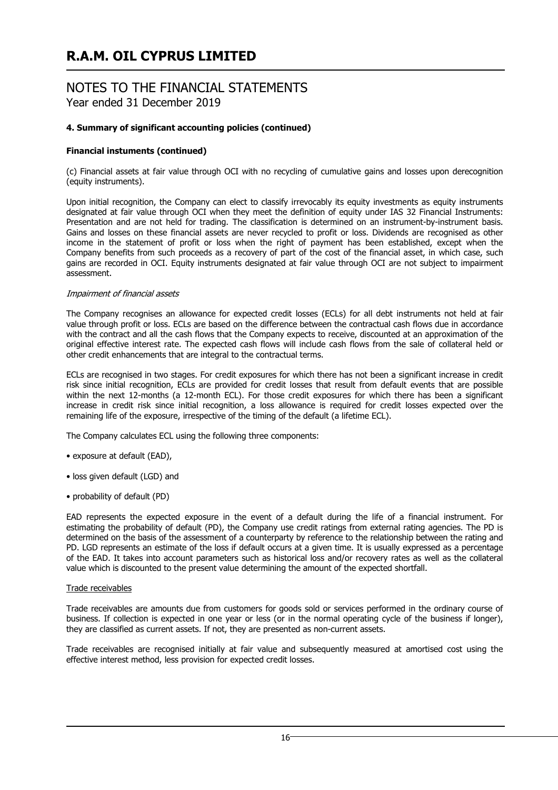### NOTES TO THE FINANCIAL STATEMENTS Year ended 31 December 2019

#### **4. Summary of significant accounting policies (continued)**

#### **Financial instuments (continued)**

(c) Financial assets at fair value through OCI with no recycling of cumulative gains and losses upon derecognition (equity instruments).

Upon initial recognition, the Company can elect to classify irrevocably its equity investments as equity instruments designated at fair value through OCI when they meet the definition of equity under IAS 32 Financial Instruments: Presentation and are not held for trading. The classification is determined on an instrument-by-instrument basis. Gains and losses on these financial assets are never recycled to profit or loss. Dividends are recognised as other income in the statement of profit or loss when the right of payment has been established, except when the Company benefits from such proceeds as a recovery of part of the cost of the financial asset, in which case, such gains are recorded in OCI. Equity instruments designated at fair value through OCI are not subject to impairment assessment.

#### Impairment of financial assets

The Company recognises an allowance for expected credit losses (ECLs) for all debt instruments not held at fair value through profit or loss. ECLs are based on the difference between the contractual cash flows due in accordance with the contract and all the cash flows that the Company expects to receive, discounted at an approximation of the original effective interest rate. The expected cash flows will include cash flows from the sale of collateral held or other credit enhancements that are integral to the contractual terms.

ECLs are recognised in two stages. For credit exposures for which there has not been a significant increase in credit risk since initial recognition, ECLs are provided for credit losses that result from default events that are possible within the next 12-months (a 12-month ECL). For those credit exposures for which there has been a significant increase in credit risk since initial recognition, a loss allowance is required for credit losses expected over the remaining life of the exposure, irrespective of the timing of the default (a lifetime ECL).

The Company calculates ECL using the following three components:

- exposure at default (EAD),
- loss given default (LGD) and
- probability of default (PD)

EAD represents the expected exposure in the event of a default during the life of a financial instrument. For estimating the probability of default (PD), the Company use credit ratings from external rating agencies. The PD is determined on the basis of the assessment of a counterparty by reference to the relationship between the rating and PD. LGD represents an estimate of the loss if default occurs at a given time. It is usually expressed as a percentage of the EAD. It takes into account parameters such as historical loss and/or recovery rates as well as the collateral value which is discounted to the present value determining the amount of the expected shortfall.

#### Trade receivables

Trade receivables are amounts due from customers for goods sold or services performed in the ordinary course of business. If collection is expected in one year or less (or in the normal operating cycle of the business if longer), they are classified as current assets. If not, they are presented as non-current assets.

Trade receivables are recognised initially at fair value and subsequently measured at amortised cost using the effective interest method, less provision for expected credit losses.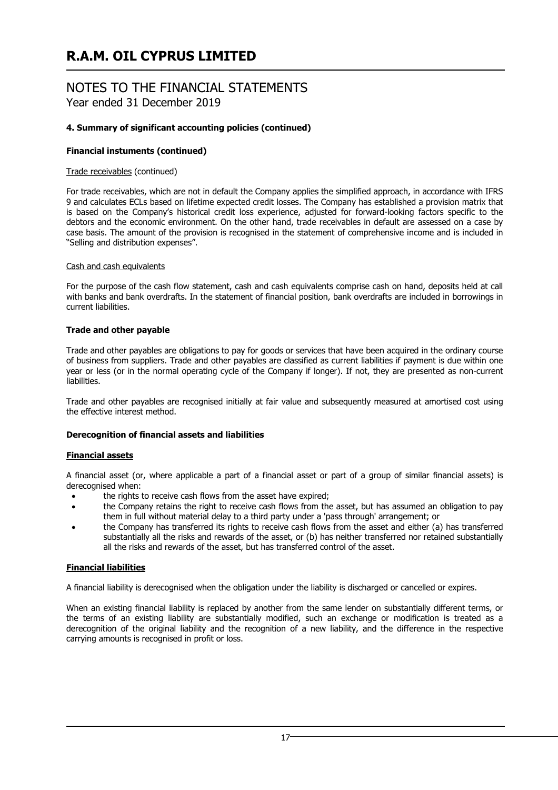### NOTES TO THE FINANCIAL STATEMENTS Year ended 31 December 2019

#### **4. Summary of significant accounting policies (continued)**

#### **Financial instuments (continued)**

#### Trade receivables (continued)

For trade receivables, which are not in default the Company applies the simplified approach, in accordance with IFRS 9 and calculates ECLs based on lifetime expected credit losses. The Company has established a provision matrix that is based on the Company's historical credit loss experience, adjusted for forward-looking factors specific to the debtors and the economic environment. On the other hand, trade receivables in default are assessed on a case by case basis. The amount of the provision is recognised in the statement of comprehensive income and is included in "Selling and distribution expenses".

#### Cash and cash equivalents

For the purpose of the cash flow statement, cash and cash equivalents comprise cash on hand, deposits held at call with banks and bank overdrafts. In the statement of financial position, bank overdrafts are included in borrowings in current liabilities.

#### **Trade and other payable**

Trade and other payables are obligations to pay for goods or services that have been acquired in the ordinary course of business from suppliers. Trade and other payables are classified as current liabilities if payment is due within one year or less (or in the normal operating cycle of the Company if longer). If not, they are presented as non-current liabilities.

Trade and other payables are recognised initially at fair value and subsequently measured at amortised cost using the effective interest method.

#### **Derecognition of financial assets and liabilities**

#### **Financial assets**

A financial asset (or, where applicable a part of a financial asset or part of a group of similar financial assets) is derecognised when:

- the rights to receive cash flows from the asset have expired;
- the Company retains the right to receive cash flows from the asset, but has assumed an obligation to pay them in full without material delay to a third party under a 'pass through' arrangement; or
- the Company has transferred its rights to receive cash flows from the asset and either (a) has transferred substantially all the risks and rewards of the asset, or (b) has neither transferred nor retained substantially all the risks and rewards of the asset, but has transferred control of the asset.

#### **Financial liabilities**

A financial liability is derecognised when the obligation under the liability is discharged or cancelled or expires.

When an existing financial liability is replaced by another from the same lender on substantially different terms, or the terms of an existing liability are substantially modified, such an exchange or modification is treated as a derecognition of the original liability and the recognition of a new liability, and the difference in the respective carrying amounts is recognised in profit or loss.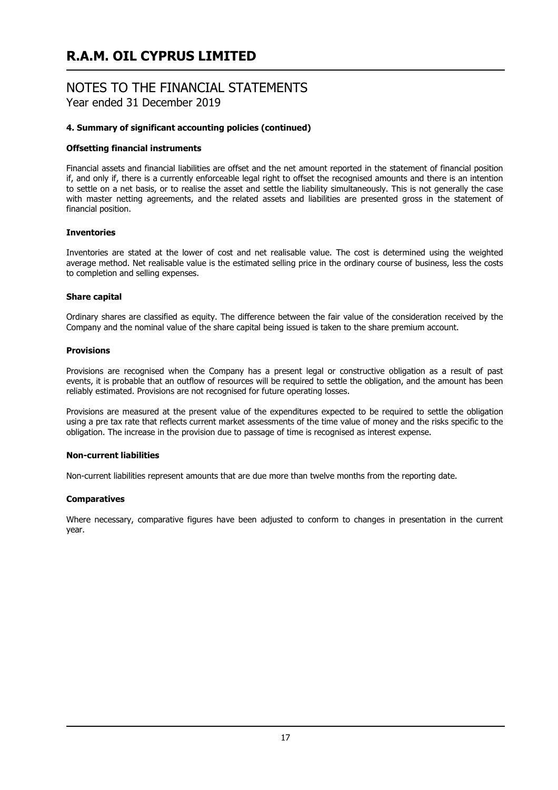### NOTES TO THE FINANCIAL STATEMENTS Year ended 31 December 2019

**4. Summary of significant accounting policies (continued)** 

#### **Offsetting financial instruments**

Financial assets and financial liabilities are offset and the net amount reported in the statement of financial position if, and only if, there is a currently enforceable legal right to offset the recognised amounts and there is an intention to settle on a net basis, or to realise the asset and settle the liability simultaneously. This is not generally the case with master netting agreements, and the related assets and liabilities are presented gross in the statement of financial position.

#### **Inventories**

Inventories are stated at the lower of cost and net realisable value. The cost is determined using the weighted average method. Net realisable value is the estimated selling price in the ordinary course of business, less the costs to completion and selling expenses.

#### **Share capital**

Ordinary shares are classified as equity. The difference between the fair value of the consideration received by the Company and the nominal value of the share capital being issued is taken to the share premium account.

#### **Provisions**

Provisions are recognised when the Company has a present legal or constructive obligation as a result of past events, it is probable that an outflow of resources will be required to settle the obligation, and the amount has been reliably estimated. Provisions are not recognised for future operating losses.

Provisions are measured at the present value of the expenditures expected to be required to settle the obligation using a pre tax rate that reflects current market assessments of the time value of money and the risks specific to the obligation. The increase in the provision due to passage of time is recognised as interest expense.

#### **Non-current liabilities**

Non-current liabilities represent amounts that are due more than twelve months from the reporting date.

#### **Comparatives**

Where necessary, comparative figures have been adjusted to conform to changes in presentation in the current year.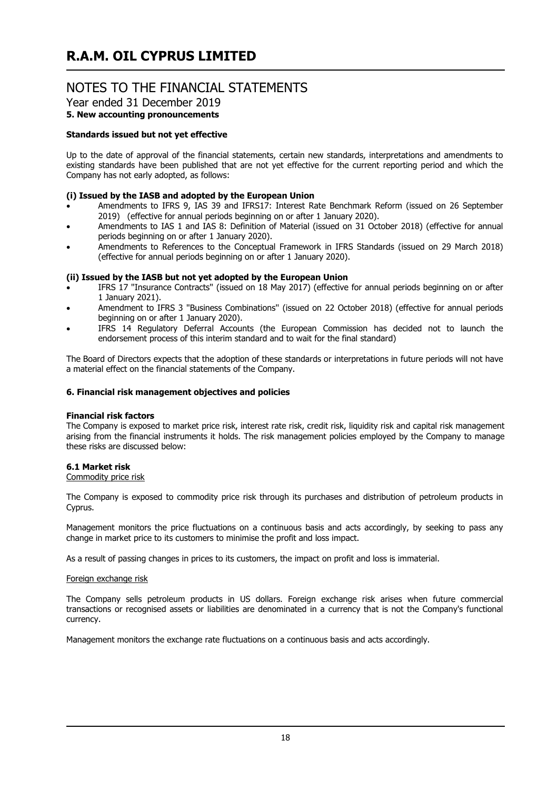### NOTES TO THE FINANCIAL STATEMENTS

Year ended 31 December 2019

**5. New accounting pronouncements** 

#### **Standards issued but not yet effective**

Up to the date of approval of the financial statements, certain new standards, interpretations and amendments to existing standards have been published that are not yet effective for the current reporting period and which the Company has not early adopted, as follows:

#### **(i) Issued by the IASB and adopted by the European Union**

- Amendments to IFRS 9, IAS 39 and IFRS17: Interest Rate Benchmark Reform (issued on 26 September 2019) (effective for annual periods beginning on or after 1 January 2020).
- Amendments to IAS 1 and IAS 8: Definition of Material (issued on 31 October 2018) (effective for annual periods beginning on or after 1 January 2020).
- Amendments to References to the Conceptual Framework in IFRS Standards (issued on 29 March 2018) (effective for annual periods beginning on or after 1 January 2020).

#### **(ii) Issued by the IASB but not yet adopted by the European Union**

- IFRS 17 ''Insurance Contracts'' (issued on 18 May 2017) (effective for annual periods beginning on or after 1 January 2021).
- Amendment to IFRS 3 ''Business Combinations'' (issued on 22 October 2018) (effective for annual periods beginning on or after 1 January 2020).
- IFRS 14 Regulatory Deferral Accounts (the European Commission has decided not to launch the endorsement process of this interim standard and to wait for the final standard)

The Board of Directors expects that the adoption of these standards or interpretations in future periods will not have a material effect on the financial statements of the Company.

#### **6. Financial risk management objectives and policies**

#### **Financial risk factors**

The Company is exposed to market price risk, interest rate risk, credit risk, liquidity risk and capital risk management arising from the financial instruments it holds. The risk management policies employed by the Company to manage these risks are discussed below:

#### **6.1 Market risk**

#### Commodity price risk

The Company is exposed to commodity price risk through its purchases and distribution of petroleum products in Cyprus.

Management monitors the price fluctuations on a continuous basis and acts accordingly, by seeking to pass any change in market price to its customers to minimise the profit and loss impact.

As a result of passing changes in prices to its customers, the impact on profit and loss is immaterial.

#### Foreign exchange risk

The Company sells petroleum products in US dollars. Foreign exchange risk arises when future commercial transactions or recognised assets or liabilities are denominated in a currency that is not the Company's functional currency.

Management monitors the exchange rate fluctuations on a continuous basis and acts accordingly.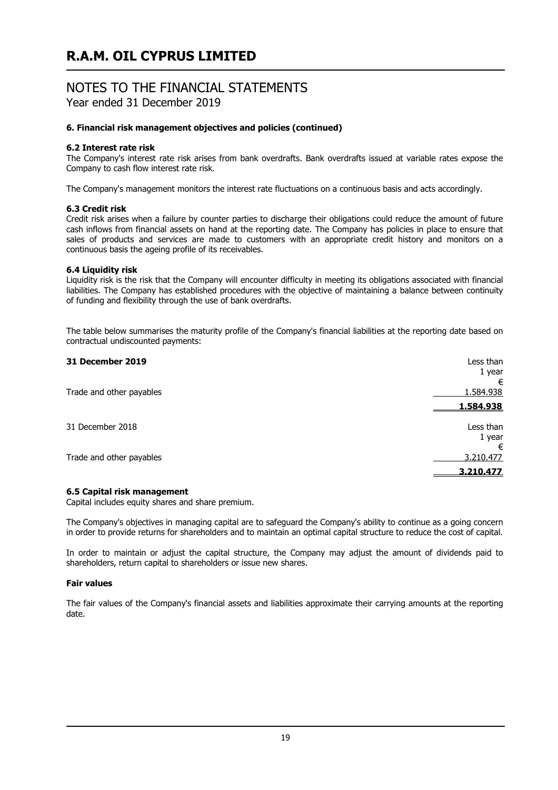### NOTES TO THE FINANCIAL STATEMENTS

Year ended 31 December 2019

#### **6. Financial risk management objectives and policies (continued)**

#### **6.2 Interest rate risk**

The Company's interest rate risk arises from bank overdrafts. Bank overdrafts issued at variable rates expose the Company to cash flow interest rate risk.

The Company's management monitors the interest rate fluctuations on a continuous basis and acts accordingly.

#### **6.3 Credit risk**

Credit risk arises when a failure by counter parties to discharge their obligations could reduce the amount of future cash inflows from financial assets on hand at the reporting date. The Company has policies in place to ensure that sales of products and services are made to customers with an appropriate credit history and monitors on a continuous basis the ageing profile of its receivables.

#### **6.4 Liquidity risk**

Liquidity risk is the risk that the Company will encounter difficulty in meeting its obligations associated with financial liabilities. The Company has established procedures with the objective of maintaining a balance between continuity of funding and flexibility through the use of bank overdrafts.

The table below summarises the maturity profile of the Company's financial liabilities at the reporting date based on contractual undiscounted payments:

| 31 December 2019         | Less than<br>1 year |
|--------------------------|---------------------|
|                          | €                   |
| Trade and other payables | 1.584.938           |
|                          | 1.584.938           |
| 31 December 2018         | Less than           |
|                          | 1 year              |
|                          | €                   |
| Trade and other payables | 3.210.477           |
|                          | 3.210.477           |

#### **6.5 Capital risk management**

Capital includes equity shares and share premium.

The Company's objectives in managing capital are to safeguard the Company's ability to continue as a going concern in order to provide returns for shareholders and to maintain an optimal capital structure to reduce the cost of capital.

In order to maintain or adjust the capital structure, the Company may adjust the amount of dividends paid to shareholders, return capital to shareholders or issue new shares.

#### **Fair values**

The fair values of the Company's financial assets and liabilities approximate their carrying amounts at the reporting date.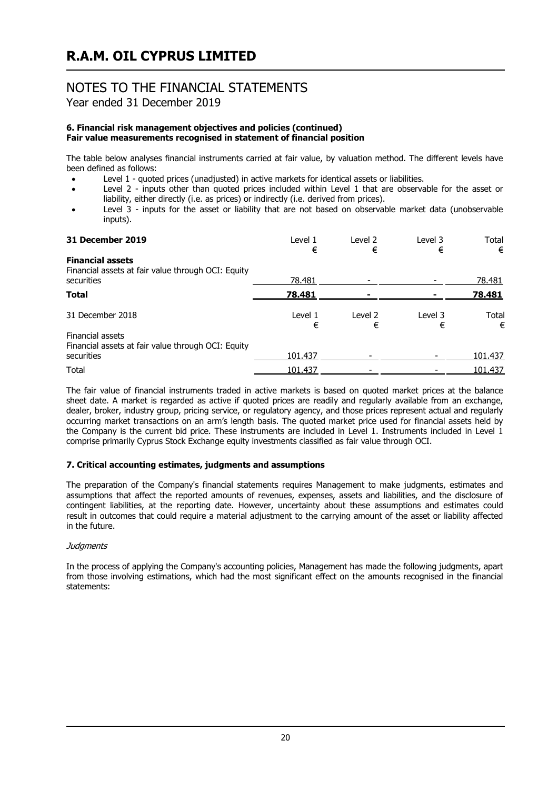# NOTES TO THE FINANCIAL STATEMENTS

Year ended 31 December 2019

#### **6. Financial risk management objectives and policies (continued) Fair value measurements recognised in statement of financial position**

The table below analyses financial instruments carried at fair value, by valuation method. The different levels have been defined as follows:

- Level 1 quoted prices (unadjusted) in active markets for identical assets or liabilities.
- Level 2 inputs other than quoted prices included within Level 1 that are observable for the asset or liability, either directly (i.e. as prices) or indirectly (i.e. derived from prices).
- Level 3 inputs for the asset or liability that are not based on observable market data (unobservable inputs).

| 31 December 2019                                                                     | Level 1<br>€ | Level 2<br>€ | Level 3<br>€ | Total<br>€    |
|--------------------------------------------------------------------------------------|--------------|--------------|--------------|---------------|
| <b>Financial assets</b><br>Financial assets at fair value through OCI: Equity        |              |              |              |               |
| securities                                                                           | 78.481       |              |              | <u>78.481</u> |
| <b>Total</b>                                                                         | 78.481       |              |              | 78.481        |
| 31 December 2018                                                                     | Level 1<br>€ | Level 2<br>€ | Level 3<br>€ | Total<br>€    |
| Financial assets<br>Financial assets at fair value through OCI: Equity<br>securities | 101.437      |              |              | 101.437       |
|                                                                                      |              |              |              |               |
| Total                                                                                | 101.437      |              |              | 101.437       |

The fair value of financial instruments traded in active markets is based on quoted market prices at the balance sheet date. A market is regarded as active if quoted prices are readily and regularly available from an exchange, dealer, broker, industry group, pricing service, or regulatory agency, and those prices represent actual and regularly occurring market transactions on an arm's length basis. The quoted market price used for financial assets held by the Company is the current bid price. These instruments are included in Level 1. Instruments included in Level 1 comprise primarily Cyprus Stock Exchange equity investments classified as fair value through OCI.

#### **7. Critical accounting estimates, judgments and assumptions**

The preparation of the Company's financial statements requires Management to make judgments, estimates and assumptions that affect the reported amounts of revenues, expenses, assets and liabilities, and the disclosure of contingent liabilities, at the reporting date. However, uncertainty about these assumptions and estimates could result in outcomes that could require a material adjustment to the carrying amount of the asset or liability affected in the future.

#### **Judgments**

In the process of applying the Company's accounting policies, Management has made the following judgments, apart from those involving estimations, which had the most significant effect on the amounts recognised in the financial statements: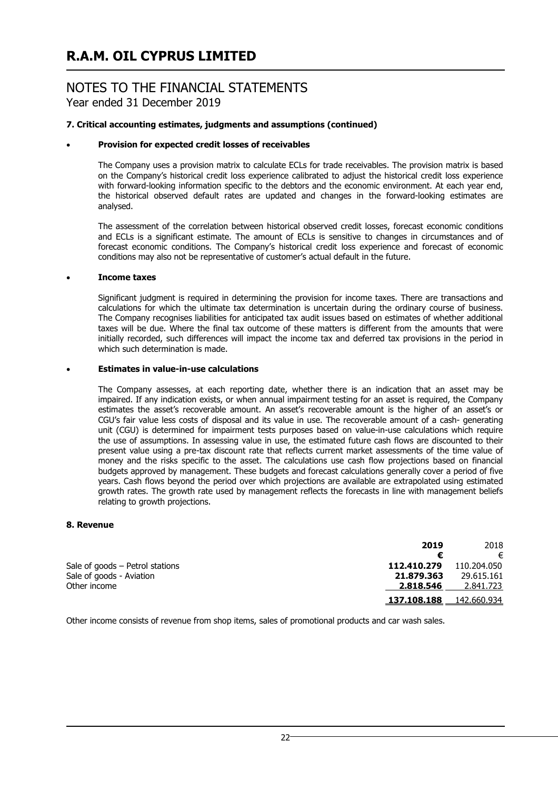# NOTES TO THE FINANCIAL STATEMENTS

Year ended 31 December 2019

#### **7. Critical accounting estimates, judgments and assumptions (continued)**

#### **Provision for expected credit losses of receivables**

The Company uses a provision matrix to calculate ECLs for trade receivables. The provision matrix is based on the Company's historical credit loss experience calibrated to adjust the historical credit loss experience with forward-looking information specific to the debtors and the economic environment. At each year end, the historical observed default rates are updated and changes in the forward-looking estimates are analysed.

The assessment of the correlation between historical observed credit losses, forecast economic conditions and ECLs is a significant estimate. The amount of ECLs is sensitive to changes in circumstances and of forecast economic conditions. The Company's historical credit loss experience and forecast of economic conditions may also not be representative of customer's actual default in the future.

#### **Income taxes**

Significant judgment is required in determining the provision for income taxes. There are transactions and calculations for which the ultimate tax determination is uncertain during the ordinary course of business. The Company recognises liabilities for anticipated tax audit issues based on estimates of whether additional taxes will be due. Where the final tax outcome of these matters is different from the amounts that were initially recorded, such differences will impact the income tax and deferred tax provisions in the period in which such determination is made.

#### **Estimates in value-in-use calculations**

The Company assesses, at each reporting date, whether there is an indication that an asset may be impaired. If any indication exists, or when annual impairment testing for an asset is required, the Company estimates the asset's recoverable amount. An asset's recoverable amount is the higher of an asset's or CGU's fair value less costs of disposal and its value in use. The recoverable amount of a cash- generating unit (CGU) is determined for impairment tests purposes based on value-in-use calculations which require the use of assumptions. In assessing value in use, the estimated future cash flows are discounted to their present value using a pre-tax discount rate that reflects current market assessments of the time value of money and the risks specific to the asset. The calculations use cash flow projections based on financial budgets approved by management. These budgets and forecast calculations generally cover a period of five years. Cash flows beyond the period over which projections are available are extrapolated using estimated growth rates. The growth rate used by management reflects the forecasts in line with management beliefs relating to growth projections.

#### **8. Revenue**

|                                   | 2019        | 2018        |
|-----------------------------------|-------------|-------------|
|                                   |             | €           |
| Sale of goods $-$ Petrol stations | 112.410.279 | 110.204.050 |
| Sale of goods - Aviation          | 21.879.363  | 29.615.161  |
| Other income                      | 2.818.546   | 2.841.723   |
|                                   | 137.108.188 | 142.660.934 |

Other income consists of revenue from shop items, sales of promotional products and car wash sales.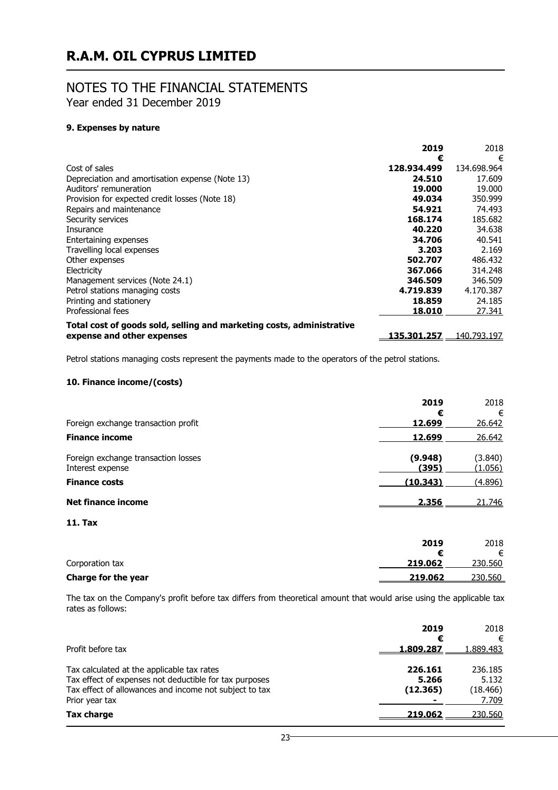### NOTES TO THE FINANCIAL STATEMENTS Year ended 31 December 2019

#### **9. Expenses by nature**

|                                                                       | 2019        | 2018        |
|-----------------------------------------------------------------------|-------------|-------------|
|                                                                       | €           | €           |
| Cost of sales                                                         | 128.934.499 | 134.698.964 |
| Depreciation and amortisation expense (Note 13)                       | 24.510      | 17.609      |
| Auditors' remuneration                                                | 19.000      | 19.000      |
| Provision for expected credit losses (Note 18)                        | 49.034      | 350.999     |
| Repairs and maintenance                                               | 54.921      | 74.493      |
| Security services                                                     | 168.174     | 185.682     |
| Insurance                                                             | 40.220      | 34.638      |
| Entertaining expenses                                                 | 34.706      | 40.541      |
| Travelling local expenses                                             | 3.203       | 2.169       |
| Other expenses                                                        | 502.707     | 486.432     |
| Electricity                                                           | 367.066     | 314.248     |
| Management services (Note 24.1)                                       | 346.509     | 346.509     |
| Petrol stations managing costs                                        | 4.719.839   | 4.170.387   |
| Printing and stationery                                               | 18.859      | 24.185      |
| Professional fees                                                     | 18.010      | 27.341      |
| Total cost of goods sold, selling and marketing costs, administrative |             |             |
| expense and other expenses                                            | 135.301.257 | 140.793.197 |

Petrol stations managing costs represent the payments made to the operators of the petrol stations.

#### **10. Finance income/(costs)**

|                                                         | 2019             | 2018               |
|---------------------------------------------------------|------------------|--------------------|
| Foreign exchange transaction profit                     | €<br>12.699      | €<br>26.642        |
| <b>Finance income</b>                                   | 12.699           | 26.642             |
| Foreign exchange transaction losses<br>Interest expense | (9.948)<br>(395) | (3.840)<br>(1.056) |
| <b>Finance costs</b>                                    | (10.343)         | (4.896)            |
| Net finance income                                      | 2.356            | 21.746             |
| <b>11. Tax</b>                                          |                  |                    |

|                     | 2019    | 2018    |
|---------------------|---------|---------|
|                     |         | €       |
| Corporation tax     | 219.062 | 230.560 |
| Charge for the year | 219.062 | 230.560 |

The tax on the Company's profit before tax differs from theoretical amount that would arise using the applicable tax rates as follows:

|                                                                                                                                                                                  | 2019<br>€                    | 2018<br>€                             |
|----------------------------------------------------------------------------------------------------------------------------------------------------------------------------------|------------------------------|---------------------------------------|
| Profit before tax                                                                                                                                                                | 1.809.287                    | 1.889.483                             |
| Tax calculated at the applicable tax rates<br>Tax effect of expenses not deductible for tax purposes<br>Tax effect of allowances and income not subject to tax<br>Prior year tax | 226.161<br>5.266<br>(12.365) | 236.185<br>5.132<br>(18.466)<br>7.709 |
| Tax charge                                                                                                                                                                       | 219.062                      | 230.560                               |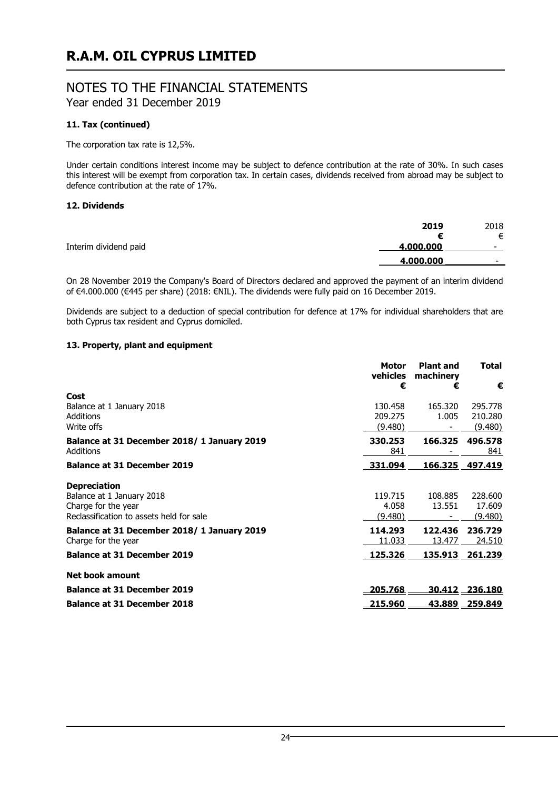### NOTES TO THE FINANCIAL STATEMENTS Year ended 31 December 2019

#### **11. Tax (continued)**

The corporation tax rate is 12,5%.

Under certain conditions interest income may be subject to defence contribution at the rate of 30%. In such cases this interest will be exempt from corporation tax. In certain cases, dividends received from abroad may be subject to defence contribution at the rate of 17%.

#### **12. Dividends**

| 2019      | 2018                     |
|-----------|--------------------------|
| €         | €                        |
| 4.000.000 | $\overline{\phantom{0}}$ |
| 4.000.000 | $\overline{\phantom{0}}$ |
|           |                          |

On 28 November 2019 the Company's Board of Directors declared and approved the payment of an interim dividend of €4.000.000 (€445 per share) (2018: €NIL). The dividends were fully paid on 16 December 2019.

Dividends are subject to a deduction of special contribution for defence at 17% for individual shareholders that are both Cyprus tax resident and Cyprus domiciled.

#### **13. Property, plant and equipment**

|                                            | <b>Motor</b><br>vehicles<br>€ | <b>Plant and</b><br>machinery<br>€ | <b>Total</b><br>€     |
|--------------------------------------------|-------------------------------|------------------------------------|-----------------------|
| Cost                                       |                               |                                    |                       |
| Balance at 1 January 2018                  | 130.458                       | 165.320                            | 295,778               |
| Additions                                  | 209,275                       | 1.005                              | 210,280               |
| Write offs                                 | (9.480)                       |                                    | <u>(9.480)</u>        |
| Balance at 31 December 2018/1 January 2019 | 330.253                       | 166.325                            | 496.578               |
| Additions                                  | 841                           |                                    | 841                   |
| <b>Balance at 31 December 2019</b>         | 331.094                       |                                    | 166.325 497.419       |
| <b>Depreciation</b>                        |                               |                                    |                       |
| Balance at 1 January 2018                  | 119.715                       | 108.885                            | 228,600               |
| Charge for the year                        | 4.058                         | 13.551                             | 17.609                |
| Reclassification to assets held for sale   | (9.480)                       |                                    | (9.480)               |
| Balance at 31 December 2018/1 January 2019 | 114.293                       | 122.436                            | 236.729               |
| Charge for the year                        | 11.033                        | 13.477                             | 24.510                |
| <b>Balance at 31 December 2019</b>         | 125.326                       | 135.913                            | 261.239               |
| <b>Net book amount</b>                     |                               |                                    |                       |
| <b>Balance at 31 December 2019</b>         | 205,768                       |                                    | 30.412 236.180        |
| <b>Balance at 31 December 2018</b>         | 215.960                       |                                    | <u>43.889 259.849</u> |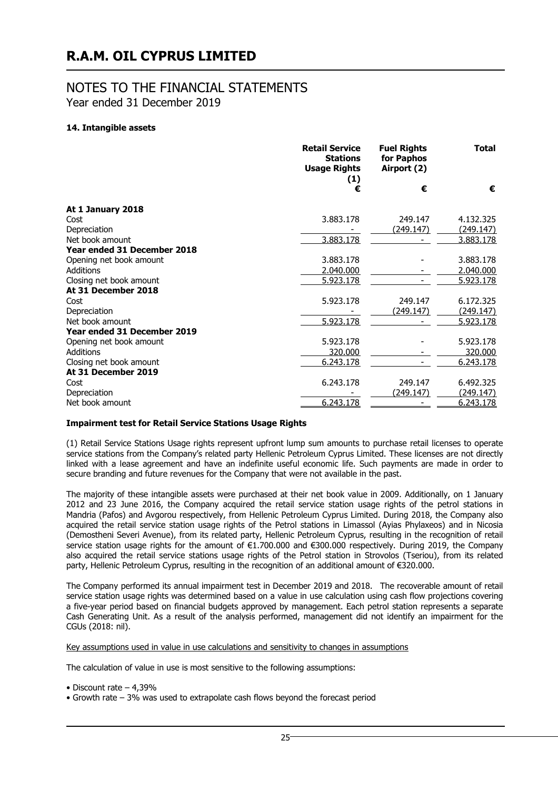# NOTES TO THE FINANCIAL STATEMENTS

Year ended 31 December 2019

#### **14. Intangible assets**

|                             | <b>Retail Service</b><br><b>Stations</b><br><b>Usage Rights</b><br>(1) | <b>Fuel Rights</b><br>for Paphos<br>Airport (2) | <b>Total</b>     |
|-----------------------------|------------------------------------------------------------------------|-------------------------------------------------|------------------|
|                             | €                                                                      | €                                               | €                |
| At 1 January 2018           |                                                                        |                                                 |                  |
| Cost                        | 3.883.178                                                              | 249.147                                         | 4.132.325        |
| Depreciation                |                                                                        | (249.147)                                       | <u>(249.147)</u> |
| Net book amount             | 3.883.178                                                              |                                                 | 3.883.178        |
| Year ended 31 December 2018 |                                                                        |                                                 |                  |
| Opening net book amount     | 3.883.178                                                              |                                                 | 3.883.178        |
| Additions                   | 2.040.000                                                              |                                                 | 2.040.000        |
| Closing net book amount     | 5.923.178                                                              |                                                 | 5.923.178        |
| At 31 December 2018         |                                                                        |                                                 |                  |
| Cost                        | 5.923.178                                                              | 249.147                                         | 6.172.325        |
| Depreciation                |                                                                        | (249.147)                                       | <u>(249.147)</u> |
| Net book amount             | 5.923.178                                                              |                                                 | 5.923.178        |
| Year ended 31 December 2019 |                                                                        |                                                 |                  |
| Opening net book amount     | 5.923.178                                                              |                                                 | 5.923.178        |
| Additions                   | 320.000                                                                |                                                 | 320.000          |
| Closing net book amount     | 6.243.178                                                              |                                                 | 6.243.178        |
| At 31 December 2019         |                                                                        |                                                 |                  |
| Cost                        | 6.243.178                                                              | 249.147                                         | 6.492.325        |
| Depreciation                |                                                                        | (249.147)                                       | (249.147)        |
| Net book amount             | 6.243.178                                                              |                                                 | 6.243.178        |

#### **Impairment test for Retail Service Stations Usage Rights**

(1) Retail Service Stations Usage rights represent upfront lump sum amounts to purchase retail licenses to operate service stations from the Company's related party Hellenic Petroleum Cyprus Limited. These licenses are not directly linked with a lease agreement and have an indefinite useful economic life. Such payments are made in order to secure branding and future revenues for the Company that were not available in the past.

The majority of these intangible assets were purchased at their net book value in 2009. Additionally, on 1 January 2012 and 23 June 2016, the Company acquired the retail service station usage rights of the petrol stations in Mandria (Pafos) and Avgorou respectively, from Hellenic Petroleum Cyprus Limited. During 2018, the Company also acquired the retail service station usage rights of the Petrol stations in Limassol (Ayias Phylaxeos) and in Nicosia (Demostheni Severi Avenue), from its related party, Hellenic Petroleum Cyprus, resulting in the recognition of retail service station usage rights for the amount of €1.700.000 and €300.000 respectively. During 2019, the Company also acquired the retail service stations usage rights of the Petrol station in Strovolos (Tseriou), from its related party, Hellenic Petroleum Cyprus, resulting in the recognition of an additional amount of €320.000.

The Company performed its annual impairment test in December 2019 and 2018. The recoverable amount of retail service station usage rights was determined based on a value in use calculation using cash flow projections covering a five-year period based on financial budgets approved by management. Each petrol station represents a separate Cash Generating Unit. As a result of the analysis performed, management did not identify an impairment for the CGUs (2018: nil).

#### Key assumptions used in value in use calculations and sensitivity to changes in assumptions

The calculation of value in use is most sensitive to the following assumptions:

- Discount rate 4,39%
- Growth rate 3% was used to extrapolate cash flows beyond the forecast period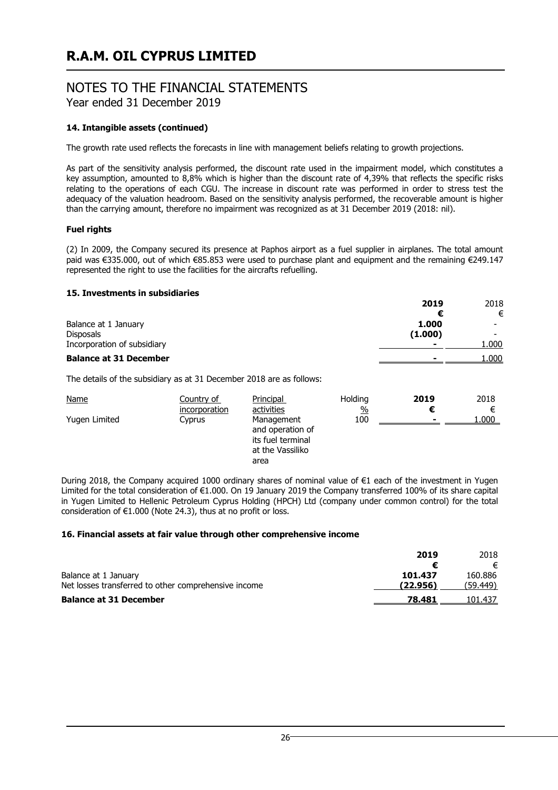### NOTES TO THE FINANCIAL STATEMENTS Year ended 31 December 2019

#### **14. Intangible assets (continued)**

The growth rate used reflects the forecasts in line with management beliefs relating to growth projections.

As part of the sensitivity analysis performed, the discount rate used in the impairment model, which constitutes a key assumption, amounted to 8,8% which is higher than the discount rate of 4,39% that reflects the specific risks relating to the operations of each CGU. The increase in discount rate was performed in order to stress test the adequacy of the valuation headroom. Based on the sensitivity analysis performed, the recoverable amount is higher than the carrying amount, therefore no impairment was recognized as at 31 December 2019 (2018: nil).

#### **Fuel rights**

(2) In 2009, the Company secured its presence at Paphos airport as a fuel supplier in airplanes. The total amount paid was €335.000, out of which €85.853 were used to purchase plant and equipment and the remaining €249.147 represented the right to use the facilities for the aircrafts refuelling.

#### **15. Investments in subsidiaries**

|                               | 2019                     | 2018  |
|-------------------------------|--------------------------|-------|
|                               |                          | €     |
| Balance at 1 January          | 1.000                    |       |
| <b>Disposals</b>              | (1.000)                  |       |
| Incorporation of subsidiary   | $\overline{\phantom{a}}$ | 1.000 |
| <b>Balance at 31 December</b> | $\overline{\phantom{a}}$ | 1.000 |

The details of the subsidiary as at 31 December 2018 are as follows:

| <b>Name</b>   | Country of    | <b>Principal</b>                                                                | Holding       | 2019           | 2018 |
|---------------|---------------|---------------------------------------------------------------------------------|---------------|----------------|------|
|               | incorporation | activities                                                                      | $\frac{0}{0}$ |                |      |
| Yugen Limited | Cyprus        | Management<br>and operation of<br>its fuel terminal<br>at the Vassiliko<br>area | 100           | $\blacksquare$ | .000 |

During 2018, the Company acquired 1000 ordinary shares of nominal value of €1 each of the investment in Yugen Limited for the total consideration of €1.000. On 19 January 2019 the Company transferred 100% of its share capital in Yugen Limited to Hellenic Petroleum Cyprus Holding (HPCH) Ltd (company under common control) for the total consideration of €1.000 (Note 24.3), thus at no profit or loss.

#### **16. Financial assets at fair value through other comprehensive income**

|                                                      | 2019     | 2018     |
|------------------------------------------------------|----------|----------|
|                                                      |          | €        |
| Balance at 1 January                                 | 101.437  | 160.886  |
| Net losses transferred to other comprehensive income | (22.956) | (59.449) |
| <b>Balance at 31 December</b>                        | 78.481   | 101.437  |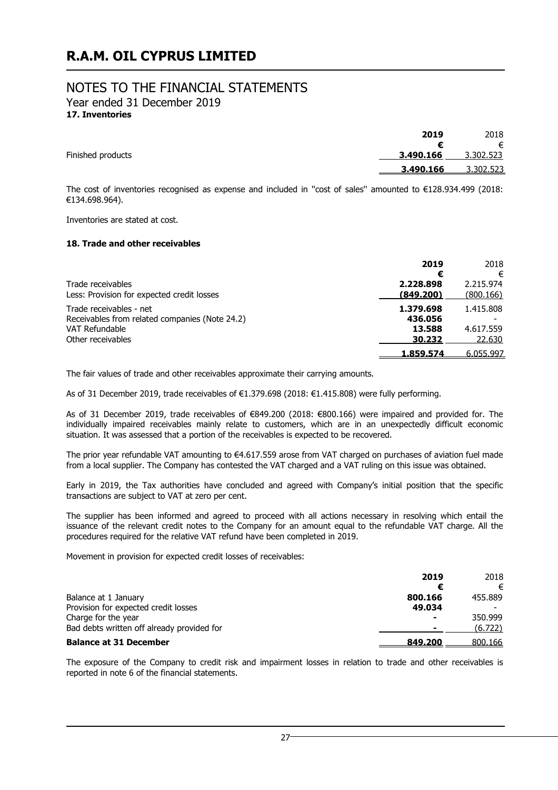### NOTES TO THE FINANCIAL STATEMENTS Year ended 31 December 2019

**17. Inventories** 

|                   | 2019      | 2018      |
|-------------------|-----------|-----------|
|                   |           | €         |
| Finished products | 3.490.166 | 3.302.523 |
|                   | 3.490.166 | 3.302.523 |

The cost of inventories recognised as expense and included in ''cost of sales'' amounted to €128.934.499 (2018: €134.698.964).

Inventories are stated at cost.

#### **18. Trade and other receivables**

|                                                | 2019      | 2018      |
|------------------------------------------------|-----------|-----------|
|                                                | €         | €         |
| Trade receivables                              | 2.228.898 | 2.215.974 |
| Less: Provision for expected credit losses     | (849.200) | (800.166) |
| Trade receivables - net                        | 1.379.698 | 1.415.808 |
| Receivables from related companies (Note 24.2) | 436.056   |           |
| VAT Refundable                                 | 13.588    | 4.617.559 |
| Other receivables                              | 30.232    | 22.630    |
|                                                | 1.859.574 | 6.055.997 |

The fair values of trade and other receivables approximate their carrying amounts.

As of 31 December 2019, trade receivables of €1.379.698 (2018: €1.415.808) were fully performing.

As of 31 December 2019, trade receivables of €849.200 (2018: €800.166) were impaired and provided for. The individually impaired receivables mainly relate to customers, which are in an unexpectedly difficult economic situation. It was assessed that a portion of the receivables is expected to be recovered.

The prior year refundable VAT amounting to €4.617.559 arose from VAT charged on purchases of aviation fuel made from a local supplier. The Company has contested the VAT charged and a VAT ruling on this issue was obtained.

Early in 2019, the Tax authorities have concluded and agreed with Company's initial position that the specific transactions are subject to VAT at zero per cent.

The supplier has been informed and agreed to proceed with all actions necessary in resolving which entail the issuance of the relevant credit notes to the Company for an amount equal to the refundable VAT charge. All the procedures required for the relative VAT refund have been completed in 2019.

Movement in provision for expected credit losses of receivables:

|                                            | 2019    | 2018    |
|--------------------------------------------|---------|---------|
|                                            | €       | €       |
| Balance at 1 January                       | 800.166 | 455.889 |
| Provision for expected credit losses       | 49.034  |         |
| Charge for the year                        |         | 350.999 |
| Bad debts written off already provided for |         | (6.722) |
| <b>Balance at 31 December</b>              | 849.200 | 800.166 |

The exposure of the Company to credit risk and impairment losses in relation to trade and other receivables is reported in note 6 of the financial statements.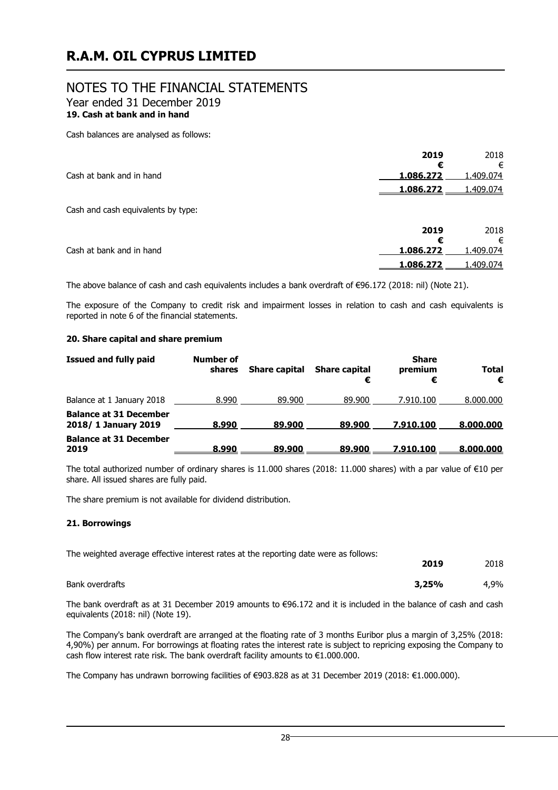#### NOTES TO THE FINANCIAL STATEMENTS Year ended 31 December 2019 **19. Cash at bank and in hand**

Cash balances are analysed as follows:

|                          | 2019      | 2018      |
|--------------------------|-----------|-----------|
|                          |           | €         |
| Cash at bank and in hand | 1.086.272 | 1.409.074 |
|                          | 1.086.272 | 1.409.074 |
|                          |           |           |

Cash and cash equivalents by type:

|                          | 2019      | 2018       |
|--------------------------|-----------|------------|
|                          |           | €          |
| Cash at bank and in hand | 1.086.272 | 1.409.074  |
|                          | 1.086.272 | . .409.074 |

The above balance of cash and cash equivalents includes a bank overdraft of €96.172 (2018: nil) (Note 21).

The exposure of the Company to credit risk and impairment losses in relation to cash and cash equivalents is reported in note 6 of the financial statements.

#### **20. Share capital and share premium**

| <b>Issued and fully paid</b>                         | Number of<br>shares | <b>Share capital</b> | <b>Share capital</b><br>€ | <b>Share</b><br>premium<br>€ | Total<br>€ |
|------------------------------------------------------|---------------------|----------------------|---------------------------|------------------------------|------------|
| Balance at 1 January 2018                            | 8.990               | 89,900               | 89,900                    | 7.910.100                    | 8.000.000  |
| <b>Balance at 31 December</b><br>2018/1 January 2019 | 8.990               | 89,900               | 89,900                    | 7.910.100                    | 8.000.000  |
| <b>Balance at 31 December</b><br>2019                | 8.990               | 89.900               | 89,900                    | 7.910.100                    | 8.000.000  |

The total authorized number of ordinary shares is 11.000 shares (2018: 11.000 shares) with a par value of €10 per share. All issued shares are fully paid.

The share premium is not available for dividend distribution.

#### **21. Borrowings**

The weighted average effective interest rates at the reporting date were as follows:

|                 | 2019  | 2018 |
|-----------------|-------|------|
| Bank overdrafts | 3,25% | 4,9% |

The bank overdraft as at 31 December 2019 amounts to €96.172 and it is included in the balance of cash and cash equivalents (2018: nil) (Note 19).

The Company's bank overdraft are arranged at the floating rate of 3 months Euribor plus a margin of 3,25% (2018: 4,90%) per annum. For borrowings at floating rates the interest rate is subject to repricing exposing the Company to cash flow interest rate risk. The bank overdraft facility amounts to €1.000.000.

The Company has undrawn borrowing facilities of €903.828 as at 31 December 2019 (2018: €1.000.000).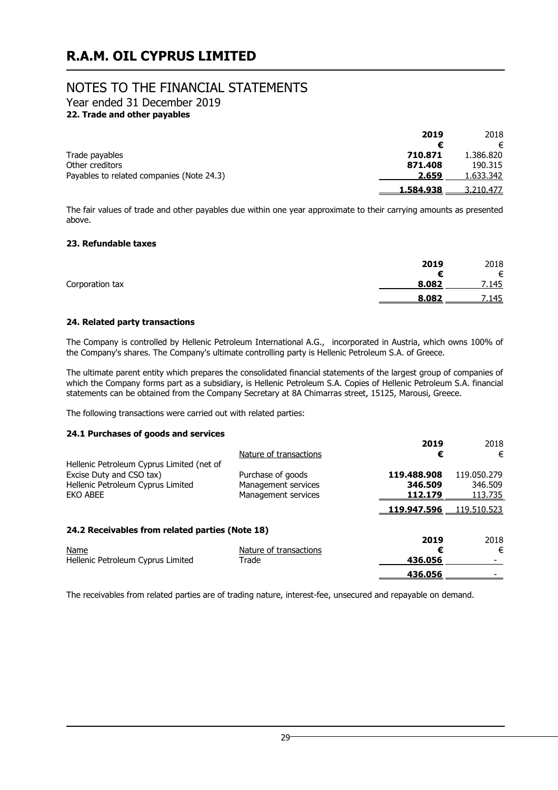### NOTES TO THE FINANCIAL STATEMENTS Year ended 31 December 2019

**22. Trade and other payables** 

|                                           | 2019      | 2018      |
|-------------------------------------------|-----------|-----------|
|                                           | €         | €         |
| Trade payables                            | 710.871   | 1.386.820 |
| Other creditors                           | 871.408   | 190.315   |
| Payables to related companies (Note 24.3) | 2.659     | 1.633.342 |
|                                           | 1.584.938 | 3.210.477 |

The fair values of trade and other payables due within one year approximate to their carrying amounts as presented above.

#### **23. Refundable taxes**

|                 | 2019  | 2018  |
|-----------------|-------|-------|
|                 |       | €     |
| Corporation tax | 8.082 | 7.145 |
|                 | 8.082 | 7.145 |

#### **24. Related party transactions**

The Company is controlled by Hellenic Petroleum International A.G., incorporated in Austria, which owns 100% of the Company's shares. The Company's ultimate controlling party is Hellenic Petroleum S.A. of Greece.

The ultimate parent entity which prepares the consolidated financial statements of the largest group of companies of which the Company forms part as a subsidiary, is Hellenic Petroleum S.A. Copies of Hellenic Petroleum S.A. financial statements can be obtained from the Company Secretary at 8A Chimarras street, 15125, Marousi, Greece.

The following transactions were carried out with related parties:

#### **24.1 Purchases of goods and services**

|                                                                                                                               | Nature of transactions                                          | 2019<br>€                         | 2018<br>€                         |
|-------------------------------------------------------------------------------------------------------------------------------|-----------------------------------------------------------------|-----------------------------------|-----------------------------------|
| Hellenic Petroleum Cyprus Limited (net of<br>Excise Duty and CSO tax)<br>Hellenic Petroleum Cyprus Limited<br><b>EKO ABEE</b> | Purchase of goods<br>Management services<br>Management services | 119.488.908<br>346.509<br>112.179 | 119.050.279<br>346.509<br>113.735 |
|                                                                                                                               |                                                                 | 119.947.596                       | 119.510.523                       |
| 24.2 Receivables from related parties (Note 18)                                                                               |                                                                 |                                   |                                   |
| Name<br>Hellenic Petroleum Cyprus Limited                                                                                     | Nature of transactions<br>Trade                                 | 2019<br>436.056                   | 2018<br>€                         |
|                                                                                                                               |                                                                 | 436.056                           |                                   |

The receivables from related parties are of trading nature, interest-fee, unsecured and repayable on demand.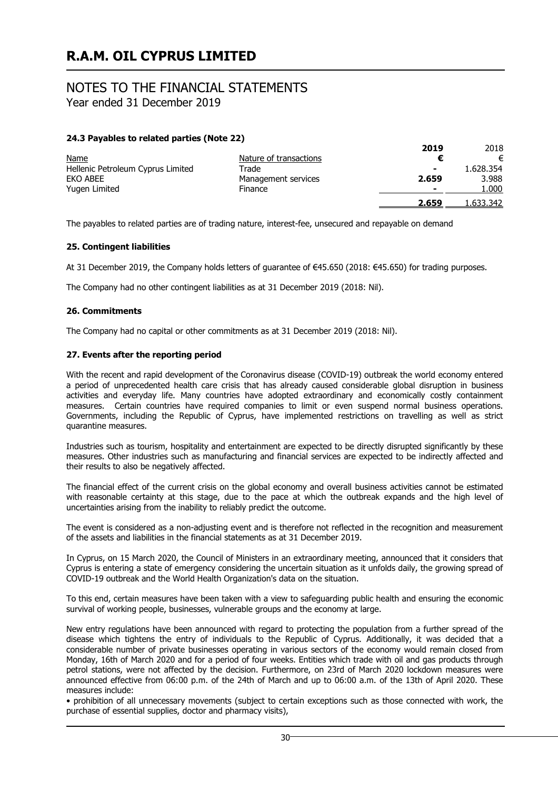# NOTES TO THE FINANCIAL STATEMENTS

Year ended 31 December 2019

#### **24.3 Payables to related parties (Note 22)**

|                                   |                        | 2019                     | 2018      |
|-----------------------------------|------------------------|--------------------------|-----------|
| <b>Name</b>                       | Nature of transactions |                          | €         |
| Hellenic Petroleum Cyprus Limited | Trade                  |                          | 1.628.354 |
| EKO ABEE                          | Management services    | 2.659                    | 3.988     |
| Yugen Limited                     | Finance                | $\overline{\phantom{0}}$ | 1.000     |
|                                   |                        | 2.659                    | .633.342  |

The payables to related parties are of trading nature, interest-fee, unsecured and repayable on demand

#### **25. Contingent liabilities**

At 31 December 2019, the Company holds letters of guarantee of €45.650 (2018: €45.650) for trading purposes.

The Company had no other contingent liabilities as at 31 December 2019 (2018: Nil).

#### **26. Commitments**

The Company had no capital or other commitments as at 31 December 2019 (2018: Nil).

#### **27. Events after the reporting period**

With the recent and rapid development of the Coronavirus disease (COVID-19) outbreak the world economy entered a period of unprecedented health care crisis that has already caused considerable global disruption in business activities and everyday life. Many countries have adopted extraordinary and economically costly containment measures. Certain countries have required companies to limit or even suspend normal business operations. Governments, including the Republic of Cyprus, have implemented restrictions on travelling as well as strict quarantine measures.

Industries such as tourism, hospitality and entertainment are expected to be directly disrupted significantly by these measures. Other industries such as manufacturing and financial services are expected to be indirectly affected and their results to also be negatively affected.

The financial effect of the current crisis on the global economy and overall business activities cannot be estimated with reasonable certainty at this stage, due to the pace at which the outbreak expands and the high level of uncertainties arising from the inability to reliably predict the outcome.

The event is considered as a non-adjusting event and is therefore not reflected in the recognition and measurement of the assets and liabilities in the financial statements as at 31 December 2019.

In Cyprus, on 15 March 2020, the Council of Ministers in an extraordinary meeting, announced that it considers that Cyprus is entering a state of emergency considering the uncertain situation as it unfolds daily, the growing spread of COVID-19 outbreak and the World Health Organization's data on the situation.

To this end, certain measures have been taken with a view to safeguarding public health and ensuring the economic survival of working people, businesses, vulnerable groups and the economy at large.

New entry regulations have been announced with regard to protecting the population from a further spread of the disease which tightens the entry of individuals to the Republic of Cyprus. Additionally, it was decided that a considerable number of private businesses operating in various sectors of the economy would remain closed from Monday, 16th of March 2020 and for a period of four weeks. Entities which trade with oil and gas products through petrol stations, were not affected by the decision. Furthermore, on 23rd of March 2020 lockdown measures were announced effective from 06:00 p.m. of the 24th of March and up to 06:00 a.m. of the 13th of April 2020. These measures include:

• prohibition of all unnecessary movements (subject to certain exceptions such as those connected with work, the purchase of essential supplies, doctor and pharmacy visits),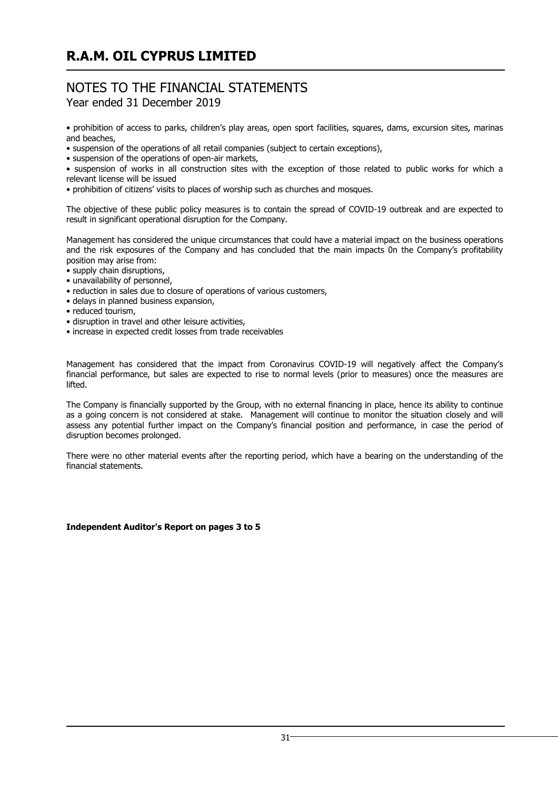### NOTES TO THE FINANCIAL STATEMENTS Year ended 31 December 2019

• prohibition of access to parks, children's play areas, open sport facilities, squares, dams, excursion sites, marinas and beaches,

• suspension of the operations of all retail companies (subject to certain exceptions),

• suspension of the operations of open-air markets,

• suspension of works in all construction sites with the exception of those related to public works for which a relevant license will be issued

• prohibition of citizens' visits to places of worship such as churches and mosques.

The objective of these public policy measures is to contain the spread of COVID-19 outbreak and are expected to result in significant operational disruption for the Company.

Management has considered the unique circumstances that could have a material impact on the business operations and the risk exposures of the Company and has concluded that the main impacts 0n the Company's profitability position may arise from:

- supply chain disruptions,
- unavailability of personnel,
- reduction in sales due to closure of operations of various customers,
- delays in planned business expansion,
- reduced tourism,
- disruption in travel and other leisure activities,
- increase in expected credit losses from trade receivables

Management has considered that the impact from Coronavirus COVID-19 will negatively affect the Company's financial performance, but sales are expected to rise to normal levels (prior to measures) once the measures are lifted.

The Company is financially supported by the Group, with no external financing in place, hence its ability to continue as a going concern is not considered at stake. Management will continue to monitor the situation closely and will assess any potential further impact on the Company's financial position and performance, in case the period of disruption becomes prolonged.

There were no other material events after the reporting period, which have a bearing on the understanding of the financial statements.

**Independent Auditor's Report on pages 3 to 5**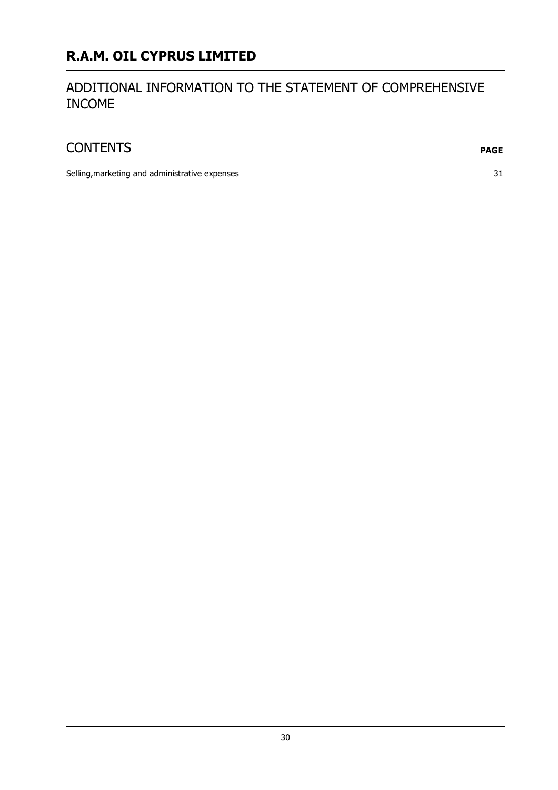### ADDITIONAL INFORMATION TO THE STATEMENT OF COMPREHENSIVE INCOME

Selling, marketing and administrative expenses 31